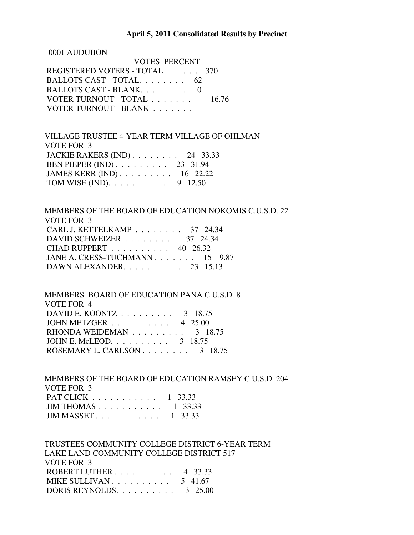## **April 5, 2011 Consolidated Results by Precinct**

0001 AUDUBON

| VOTES PERCENT                 |       |
|-------------------------------|-------|
| REGISTERED VOTERS - TOTAL 370 |       |
| BALLOTS CAST - TOTAL 62       |       |
| BALLOTS CAST - BLANK.         |       |
| VOTER TURNOUT - TOTAL         | 16.76 |
| VOTER TURNOUT - BLANK         |       |

 VILLAGE TRUSTEE 4-YEAR TERM VILLAGE OF OHLMAN VOTE FOR 3 JACKIE RAKERS (IND) . . . . . . . . 24 33.33 BEN PIEPER (IND) . . . . . . . . . 23 31.94 JAMES KERR (IND) . . . . . . . . . 16 22.22 TOM WISE (IND).  $\ldots$  . . . . . . . 9 12.50

 MEMBERS OF THE BOARD OF EDUCATION NOKOMIS C.U.S.D. 22 VOTE FOR 3 CARL J. KETTELKAMP . . . . . . . . 37 24.34 DAVID SCHWEIZER . . . . . . . . . 37 24.34 CHAD RUPPERT . . . . . . . . . . 40 26.32 JANE A. CRESS-TUCHMANN . . . . . . . 15 9.87 DAWN ALEXANDER. . . . . . . . . . 23 15.13

 MEMBERS BOARD OF EDUCATION PANA C.U.S.D. 8 VOTE FOR 4 DAVID E. KOONTZ . . . . . . . . . 3 18.75 JOHN METZGER . . . . . . . . . . 4 25.00 RHONDA WEIDEMAN . . . . . . . . . 3 18.75 JOHN E. McLEOD. . . . . . . . . . 3 18.75 ROSEMARY L. CARLSON . . . . . . . . 3 18.75

 MEMBERS OF THE BOARD OF EDUCATION RAMSEY C.U.S.D. 204 VOTE FOR 3 PAT CLICK . . . . . . . . . . . 1 33.33 JIM THOMAS . . . . . . . . . . . 1 33.33 JIM MASSET . . . . . . . . . . . 1 33.33

 TRUSTEES COMMUNITY COLLEGE DISTRICT 6-YEAR TERM LAKE LAND COMMUNITY COLLEGE DISTRICT 517 VOTE FOR 3 ROBERT LUTHER . . . . . . . . . . 4 33.33 MIKE SULLIVAN . . . . . . . . . . . 5 41.67 DORIS REYNOLDS. . . . . . . . . . 3 25.00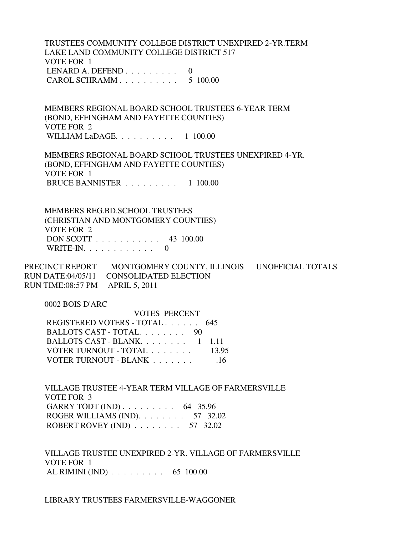TRUSTEES COMMUNITY COLLEGE DISTRICT UNEXPIRED 2-YR.TERM LAKE LAND COMMUNITY COLLEGE DISTRICT 517 VOTE FOR 1 LENARD A. DEFEND  $\ldots$  . . . . . . . 0 CAROL SCHRAMM . . . . . . . . . . 5 100.00

 MEMBERS REGIONAL BOARD SCHOOL TRUSTEES 6-YEAR TERM (BOND, EFFINGHAM AND FAYETTE COUNTIES) VOTE FOR 2 WILLIAM LaDAGE. . . . . . . . . . 1 100.00

 MEMBERS REGIONAL BOARD SCHOOL TRUSTEES UNEXPIRED 4-YR. (BOND, EFFINGHAM AND FAYETTE COUNTIES) VOTE FOR 1 BRUCE BANNISTER . . . . . . . . . 1 100.00

 MEMBERS REG.BD.SCHOOL TRUSTEES (CHRISTIAN AND MONTGOMERY COUNTIES) VOTE FOR 2 DON SCOTT . . . . . . . . . . . 43 100.00 WRITE-IN.  $\ldots$  . . . . . . . . . 0

PRECINCT REPORT MONTGOMERY COUNTY, ILLINOIS UNOFFICIAL TOTALS RUN DATE:04/05/11 CONSOLIDATED ELECTION RUN TIME:08:57 PM APRIL 5, 2011

0002 BOIS D'ARC

| <b>VOTES PERCENT</b>                |       |
|-------------------------------------|-------|
| REGISTERED VOTERS - TOTAL 645       |       |
| BALLOTS CAST - TOTAL 90             |       |
| BALLOTS CAST - BLANK $1 \quad 1.11$ |       |
| VOTER TURNOUT - TOTAL               | 13.95 |
| VOTER TURNOUT - BLANK               | -16   |

 VILLAGE TRUSTEE 4-YEAR TERM VILLAGE OF FARMERSVILLE VOTE FOR 3 GARRY TODT (IND) . . . . . . . . . . 64 35.96 ROGER WILLIAMS (IND). . . . . . . . 57 32.02 ROBERT ROVEY (IND) . . . . . . . . 57 32.02

 VILLAGE TRUSTEE UNEXPIRED 2-YR. VILLAGE OF FARMERSVILLE VOTE FOR 1 AL RIMINI (IND) . . . . . . . . . 65 100.00

LIBRARY TRUSTEES FARMERSVILLE-WAGGONER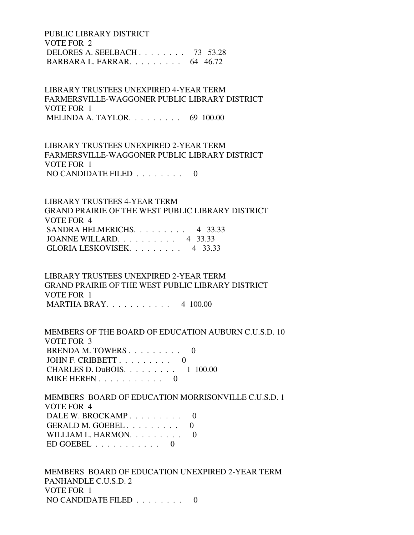PUBLIC LIBRARY DISTRICT VOTE FOR 2 DELORES A. SEELBACH . . . . . . . . 73 53.28 BARBARA L. FARRAR. . . . . . . . . 64 46.72

 LIBRARY TRUSTEES UNEXPIRED 4-YEAR TERM FARMERSVILLE-WAGGONER PUBLIC LIBRARY DISTRICT VOTE FOR 1 MELINDA A. TAYLOR. . . . . . . . . 69 100.00

 LIBRARY TRUSTEES UNEXPIRED 2-YEAR TERM FARMERSVILLE-WAGGONER PUBLIC LIBRARY DISTRICT VOTE FOR 1 NO CANDIDATE FILED  $\ldots \ldots \ldots$ 

 LIBRARY TRUSTEES 4-YEAR TERM GRAND PRAIRIE OF THE WEST PUBLIC LIBRARY DISTRICT VOTE FOR 4 SANDRA HELMERICHS. . . . . . . . . 4 33.33 JOANNE WILLARD. . . . . . . . . . 4 33.33 GLORIA LESKOVISEK. . . . . . . . . 4 33.33

 LIBRARY TRUSTEES UNEXPIRED 2-YEAR TERM GRAND PRAIRIE OF THE WEST PUBLIC LIBRARY DISTRICT VOTE FOR 1 MARTHA BRAY. . . . . . . . . . . 4 100.00

 MEMBERS OF THE BOARD OF EDUCATION AUBURN C.U.S.D. 10 VOTE FOR 3 BRENDA M. TOWERS . . . . . . . . . 0 JOHN F. CRIBBETT . . . . . . . . . 0 CHARLES D. DuBOIS. . . . . . . . . 1 100.00 MIKE HEREN . . . . . . . . . . . 0

 MEMBERS BOARD OF EDUCATION MORRISONVILLE C.U.S.D. 1 VOTE FOR 4 DALE W. BROCKAMP . . . . . . . . . 0 GERALD M. GOEBEL . . . . . . . . . 0 WILLIAM L. HARMON. . . . . . . . . 0  $ED GOEBEL$  . . . . . . . . . . 0

 MEMBERS BOARD OF EDUCATION UNEXPIRED 2-YEAR TERM PANHANDLE C.U.S.D. 2 VOTE FOR 1 NO CANDIDATE FILED . . . . . . . . 0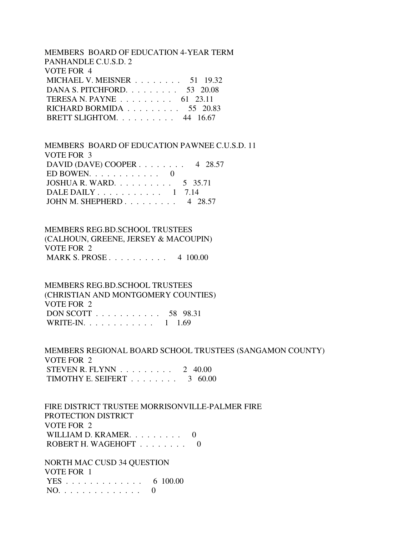# MEMBERS BOARD OF EDUCATION 4-YEAR TERM PANHANDLE C.U.S.D. 2 VOTE FOR 4 MICHAEL V. MEISNER . . . . . . . . 51 19.32 DANA S. PITCHFORD. . . . . . . . . 53 20.08 TERESA N. PAYNE . . . . . . . . . 61 23.11 RICHARD BORMIDA . . . . . . . . . 55 20.83 BRETT SLIGHTOM. . . . . . . . . . 44 16.67

 MEMBERS BOARD OF EDUCATION PAWNEE C.U.S.D. 11 VOTE FOR 3 DAVID (DAVE) COOPER . . . . . . . . 4 28.57 ED BOWEN.  $\ldots$  . . . . . . . . . 0 JOSHUA R. WARD.  $\ldots$  . . . . . . . 5 35.71 DALE DAILY . . . . . . . . . . . 1 7.14 JOHN M. SHEPHERD . . . . . . . . . 4 28.57

 MEMBERS REG.BD.SCHOOL TRUSTEES (CALHOUN, GREENE, JERSEY & MACOUPIN) VOTE FOR 2 MARK S. PROSE . . . . . . . . . . 4 100.00

 MEMBERS REG.BD.SCHOOL TRUSTEES (CHRISTIAN AND MONTGOMERY COUNTIES) VOTE FOR 2 DON SCOTT . . . . . . . . . . . 58 98.31 WRITE-IN. . . . . . . . . . . . 1 1.69

 MEMBERS REGIONAL BOARD SCHOOL TRUSTEES (SANGAMON COUNTY) VOTE FOR 2 STEVEN R. FLYNN  $\ldots$  . . . . . . . 2 40.00 TIMOTHY E. SEIFERT  $\ldots \ldots \ldots$  3 60.00

 FIRE DISTRICT TRUSTEE MORRISONVILLE-PALMER FIRE PROTECTION DISTRICT VOTE FOR 2 WILLIAM D. KRAMER. . . . . . . . . 0 ROBERT H. WAGEHOFT . . . . . . . . 0

 NORTH MAC CUSD 34 QUESTION VOTE FOR 1 YES . . . . . . . . . . . . . 6 100.00 NO. . . . . . . . . . . . . . 0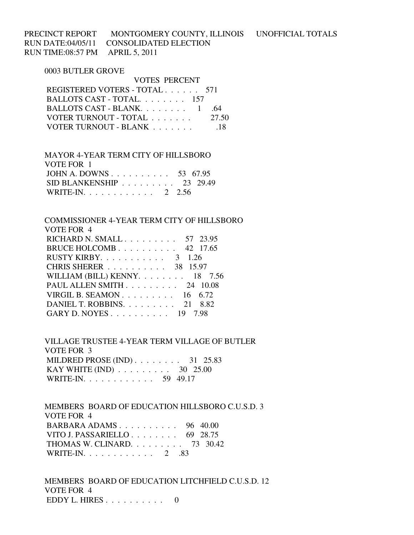PRECINCT REPORT MONTGOMERY COUNTY, ILLINOIS UNOFFICIAL TOTALS RUN DATE:04/05/11 CONSOLIDATED ELECTION RUN TIME:08:57 PM APRIL 5, 2011

## 0003 BUTLER GROVE

| VOTES PERCENT                 |       |
|-------------------------------|-------|
| REGISTERED VOTERS - TOTAL 571 |       |
| BALLOTS CAST - TOTAL. 157     |       |
| BALLOTS CAST - BLANK 1        | .64   |
| VOTER TURNOUT - TOTAL         | 27.50 |
| VOTER TURNOUT - BLANK         | -18   |

| MAYOR 4-YEAR TERM CITY OF HILLSBORO |  |
|-------------------------------------|--|
| VOTE FOR 1                          |  |
| JOHN A. DOWNS 53 67.95              |  |
| $SID BLANKENSHIP$ 23 29.49          |  |
| WRITE-IN. 2 2.56                    |  |

# COMMISSIONER 4-YEAR TERM CITY OF HILLSBORO VOTE FOR 4 RICHARD N. SMALL . . . . . . . . . 57 23.95

| BRUCE HOLCOMB 42 17.65                            |
|---------------------------------------------------|
| RUSTY KIRBY. $\ldots \ldots \ldots \ldots$ 3 1.26 |
| CHRIS SHERER 38 15.97                             |
| WILLIAM (BILL) KENNY. $\ldots$ 18 7.56            |
| PAUL ALLEN SMITH 24 10.08                         |
| VIRGIL B. SEAMON 16 $6.72$                        |
| DANIEL T. ROBBINS. $\ldots$ 21 8.82               |
| GARY D. NOYES 19 7.98                             |
|                                                   |

 VILLAGE TRUSTEE 4-YEAR TERM VILLAGE OF BUTLER VOTE FOR 3 MILDRED PROSE (IND) . . . . . . . . . 31 25.83 KAY WHITE (IND) . . . . . . . . . 30 25.00 WRITE-IN. . . . . . . . . . . . 59 49.17

 MEMBERS BOARD OF EDUCATION HILLSBORO C.U.S.D. 3 VOTE FOR 4 BARBARA ADAMS . . . . . . . . . . 96 40.00 VITO J. PASSARIELLO . . . . . . . . 69 28.75 THOMAS W. CLINARD. . . . . . . . . 73 30.42 WRITE-IN. . . . . . . . . . . . 2 .83

 MEMBERS BOARD OF EDUCATION LITCHFIELD C.U.S.D. 12 VOTE FOR 4 EDDY L. HIRES  $\ldots \ldots \ldots \ldots 0$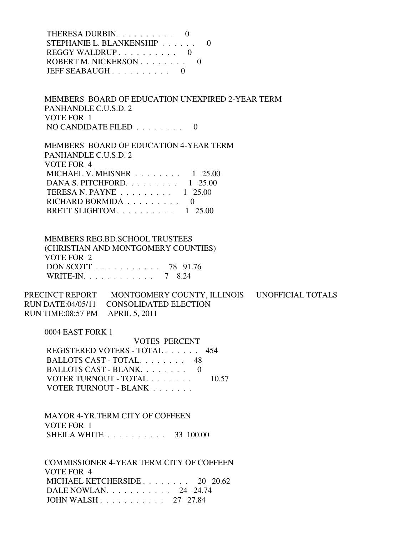THERESA DURBIN. . . . . . . . . . 0 STEPHANIE L. BLANKENSHIP . . . . . . 0 REGGY WALDRUP . . . . . . . . . . 0 ROBERT M. NICKERSON . . . . . . . . 0 JEFF SEABAUGH . . . . . . . . . . 0

 MEMBERS BOARD OF EDUCATION UNEXPIRED 2-YEAR TERM PANHANDLE C.U.S.D. 2 VOTE FOR 1 NO CANDIDATE FILED . . . . . . . . 0

 MEMBERS BOARD OF EDUCATION 4-YEAR TERM PANHANDLE C.U.S.D. 2 VOTE FOR 4 MICHAEL V. MEISNER . . . . . . . . 1 25.00 DANA S. PITCHFORD. . . . . . . . . 1 25.00 TERESA N. PAYNE . . . . . . . . . 1 25.00 RICHARD BORMIDA  $\ldots$ ...... 0 BRETT SLIGHTOM.  $\ldots \ldots \ldots \ldots 1$  25.00

 MEMBERS REG.BD.SCHOOL TRUSTEES (CHRISTIAN AND MONTGOMERY COUNTIES) VOTE FOR 2 DON SCOTT . . . . . . . . . . . 78 91.76 WRITE-IN. . . . . . . . . . . . 7 8.24

PRECINCT REPORT MONTGOMERY COUNTY, ILLINOIS UNOFFICIAL TOTALS RUN DATE:04/05/11 CONSOLIDATED ELECTION RUN TIME:08:57 PM APRIL 5, 2011

0004 EAST FORK 1

 VOTES PERCENT REGISTERED VOTERS - TOTAL . . . . . . 454 BALLOTS CAST - TOTAL. . . . . . . . 48 BALLOTS CAST - BLANK. . . . . . . . 0 VOTER TURNOUT - TOTAL . . . . . . . 10.57 VOTER TURNOUT - BLANK . . . . . . .

 MAYOR 4-YR.TERM CITY OF COFFEEN VOTE FOR 1 SHEILA WHITE . . . . . . . . . . 33 100.00

 COMMISSIONER 4-YEAR TERM CITY OF COFFEEN VOTE FOR 4 MICHAEL KETCHERSIDE . . . . . . . . 20 20.62 DALE NOWLAN. . . . . . . . . . . 24 24.74 JOHN WALSH . . . . . . . . . . . 27 27.84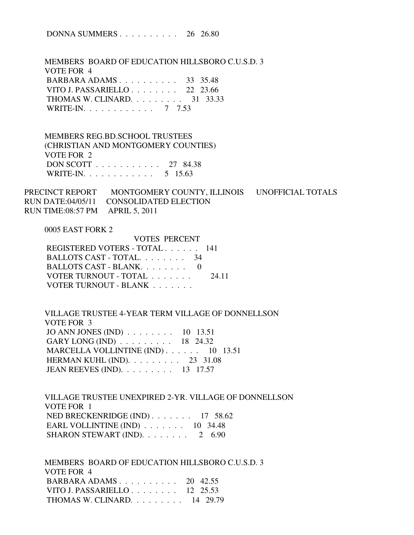DONNA SUMMERS . . . . . . . . . . 26 26.80

 MEMBERS BOARD OF EDUCATION HILLSBORO C.U.S.D. 3 VOTE FOR 4 BARBARA ADAMS . . . . . . . . . . 33 35.48 VITO J. PASSARIELLO . . . . . . . . 22 23.66 THOMAS W. CLINARD. . . . . . . . . 31 33.33 WRITE-IN. . . . . . . . . . . . 7 7.53

 MEMBERS REG.BD.SCHOOL TRUSTEES (CHRISTIAN AND MONTGOMERY COUNTIES) VOTE FOR 2 DON SCOTT . . . . . . . . . . . 27 84.38 WRITE-IN. . . . . . . . . . . . . 5 15.63

PRECINCT REPORT MONTGOMERY COUNTY, ILLINOIS UNOFFICIAL TOTALS RUN DATE:04/05/11 CONSOLIDATED ELECTION RUN TIME:08:57 PM APRIL 5, 2011

0005 EAST FORK 2

| VOTES PERCENT                  |
|--------------------------------|
| REGISTERED VOTERS - TOTAL 141  |
| BALLOTS CAST - TOTAL 34        |
| BALLOTS CAST - BLANK. 0        |
| VOTER TURNOUT - TOTAL<br>24 11 |
|                                |
|                                |

 VILLAGE TRUSTEE 4-YEAR TERM VILLAGE OF DONNELLSON VOTE FOR 3 JO ANN JONES (IND) . . . . . . . . 10 13.51 GARY LONG (IND) . . . . . . . . . 18 24.32 MARCELLA VOLLINTINE (IND) . . . . . . 10 13.51 HERMAN KUHL (IND). . . . . . . . . 23 31.08 JEAN REEVES (IND). . . . . . . . . 13 17.57

 VILLAGE TRUSTEE UNEXPIRED 2-YR. VILLAGE OF DONNELLSON VOTE FOR 1 NED BRECKENRIDGE (IND) . . . . . . . 17 58.62 EARL VOLLINTINE (IND) . . . . . . . 10 34.48 SHARON STEWART (IND). . . . . . . . 2 6.90

 MEMBERS BOARD OF EDUCATION HILLSBORO C.U.S.D. 3 VOTE FOR 4 BARBARA ADAMS . . . . . . . . . . 20 42.55 VITO J. PASSARIELLO . . . . . . . . 12 25.53 THOMAS W. CLINARD. . . . . . . . . 14 29.79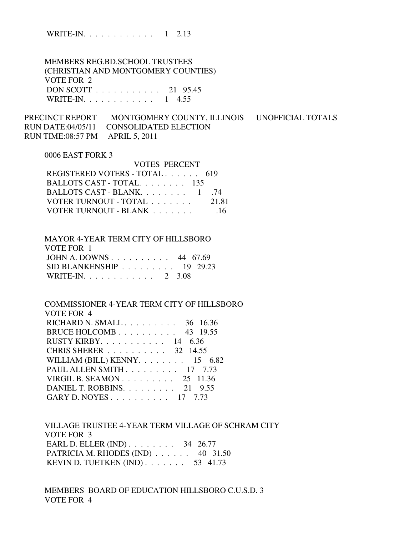WRITE-IN. . . . . . . . . . . . 1 2.13

 MEMBERS REG.BD.SCHOOL TRUSTEES (CHRISTIAN AND MONTGOMERY COUNTIES) VOTE FOR 2 DON SCOTT . . . . . . . . . . . 21 95.45 WRITE-IN. . . . . . . . . . . . . 1 4.55

PRECINCT REPORT MONTGOMERY COUNTY, ILLINOIS UNOFFICIAL TOTALS RUN DATE:04/05/11 CONSOLIDATED ELECTION RUN TIME:08:57 PM APRIL 5, 2011

VOTES PERCENT

## 0006 EAST FORK 3

| VULES PERUENT                 |       |
|-------------------------------|-------|
| REGISTERED VOTERS - TOTAL 619 |       |
| BALLOTS CAST - TOTAL $135$    |       |
| BALLOTS CAST - BLANK 1        | -74   |
| VOTER TURNOUT - TOTAL         | 21.81 |
| VOTER TURNOUT - BLANK         | -16   |
|                               |       |

| MAYOR 4-YEAR TERM CITY OF HILLSBORO                    |  |
|--------------------------------------------------------|--|
| VOTE FOR 1                                             |  |
| JOHN A. DOWNS 44 $67.69$                               |  |
| SID BLANKENSHIP $\ldots \ldots \ldots \ldots$ 19 29.23 |  |
| WRITE-IN. 2 3.08                                       |  |

 COMMISSIONER 4-YEAR TERM CITY OF HILLSBORO VOTE FOR 4 RICHARD N. SMALL . . . . . . . . . 36 16.36 BRUCE HOLCOMB . . . . . . . . . . 43 19.55 RUSTY KIRBY. . . . . . . . . . . 14 6.36 CHRIS SHERER . . . . . . . . . . 32 14.55 WILLIAM (BILL) KENNY. . . . . . . . 15 6.82 PAUL ALLEN SMITH . . . . . . . . . 17 7.73 VIRGIL B. SEAMON . . . . . . . . . 25 11.36 DANIEL T. ROBBINS. . . . . . . . . 21 9.55 GARY D. NOYES . . . . . . . . . . 17 7.73

 VILLAGE TRUSTEE 4-YEAR TERM VILLAGE OF SCHRAM CITY VOTE FOR 3 EARL D. ELLER (IND) . . . . . . . . 34 26.77 PATRICIA M. RHODES (IND) . . . . . . 40 31.50 KEVIN D. TUETKEN (IND) . . . . . . . 53 41.73

 MEMBERS BOARD OF EDUCATION HILLSBORO C.U.S.D. 3 VOTE FOR 4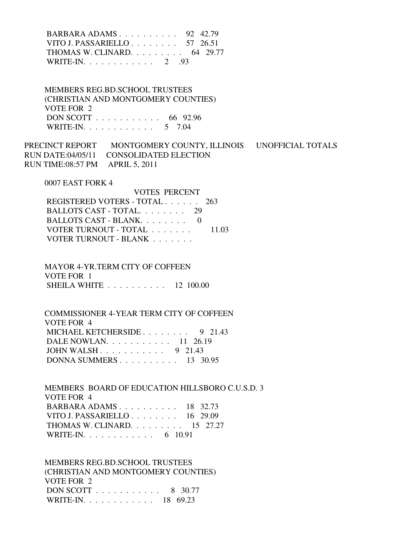BARBARA ADAMS . . . . . . . . . . 92 42.79 VITO J. PASSARIELLO . . . . . . . . 57 26.51 THOMAS W. CLINARD. . . . . . . . . 64 29.77 WRITE-IN. . . . . . . . . . . . 2 .93

 MEMBERS REG.BD.SCHOOL TRUSTEES (CHRISTIAN AND MONTGOMERY COUNTIES) VOTE FOR 2 DON SCOTT . . . . . . . . . . . 66 92.96 WRITE-IN. . . . . . . . . . . . 5 7.04

PRECINCT REPORT MONTGOMERY COUNTY, ILLINOIS UNOFFICIAL TOTALS RUN DATE:04/05/11 CONSOLIDATED ELECTION RUN TIME:08:57 PM APRIL 5, 2011

0007 EAST FORK 4

| REGISTERED VOTERS - TOTAL 263 |
|-------------------------------|
| BALLOTS CAST - TOTAL 29       |
| BALLOTS CAST - BLANK $0$      |
| 11.03                         |
|                               |
|                               |

 MAYOR 4-YR.TERM CITY OF COFFEEN VOTE FOR 1 SHEILA WHITE . . . . . . . . . . 12 100.00

 COMMISSIONER 4-YEAR TERM CITY OF COFFEEN VOTE FOR 4 MICHAEL KETCHERSIDE . . . . . . . . 9 21.43 DALE NOWLAN. . . . . . . . . . . 11 26.19 JOHN WALSH . . . . . . . . . . . 9 21.43 DONNA SUMMERS . . . . . . . . . . 13 30.95

 MEMBERS BOARD OF EDUCATION HILLSBORO C.U.S.D. 3 VOTE FOR 4 BARBARA ADAMS . . . . . . . . . . 18 32.73 VITO J. PASSARIELLO . . . . . . . . 16 29.09 THOMAS W. CLINARD. . . . . . . . . 15 27.27 WRITE-IN. . . . . . . . . . . . . 6 10.91

 MEMBERS REG.BD.SCHOOL TRUSTEES (CHRISTIAN AND MONTGOMERY COUNTIES) VOTE FOR 2 DON SCOTT . . . . . . . . . . . 8 30.77 WRITE-IN. . . . . . . . . . . . 18 69.23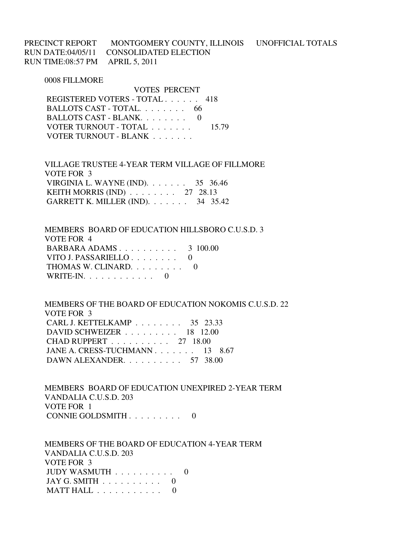PRECINCT REPORT MONTGOMERY COUNTY, ILLINOIS UNOFFICIAL TOTALS RUN DATE:04/05/11 CONSOLIDATED ELECTION RUN TIME:08:57 PM APRIL 5, 2011

#### 0008 FILLMORE

 VOTES PERCENT REGISTERED VOTERS - TOTAL . . . . . . 418 BALLOTS CAST - TOTAL. . . . . . . . 66 BALLOTS CAST - BLANK. . . . . . . . . 0 VOTER TURNOUT - TOTAL . . . . . . . 15.79 VOTER TURNOUT - BLANK . . . . . . .

 VILLAGE TRUSTEE 4-YEAR TERM VILLAGE OF FILLMORE VOTE FOR 3 VIRGINIA L. WAYNE (IND). . . . . . . 35 36.46 KEITH MORRIS (IND) . . . . . . . . 27 28.13 GARRETT K. MILLER (IND). . . . . . . 34 35.42

 MEMBERS BOARD OF EDUCATION HILLSBORO C.U.S.D. 3 VOTE FOR 4 BARBARA ADAMS . . . . . . . . . . 3 100.00 VITO J. PASSARIELLO . . . . . . . . 0 THOMAS W. CLINARD. . . . . . . . . 0 WRITE-IN. . . . . . . . . . . . 0

 MEMBERS OF THE BOARD OF EDUCATION NOKOMIS C.U.S.D. 22 VOTE FOR 3 CARL J. KETTELKAMP . . . . . . . . 35 23.33 DAVID SCHWEIZER . . . . . . . . . 18 12.00 CHAD RUPPERT . . . . . . . . . . 27 18.00 JANE A. CRESS-TUCHMANN . . . . . . . 13 8.67 DAWN ALEXANDER. . . . . . . . . . 57 38.00

 MEMBERS BOARD OF EDUCATION UNEXPIRED 2-YEAR TERM VANDALIA C.U.S.D. 203 VOTE FOR 1 CONNIE GOLDSMITH . . . . . . . . . 0

 MEMBERS OF THE BOARD OF EDUCATION 4-YEAR TERM VANDALIA C.U.S.D. 203 VOTE FOR 3 JUDY WASMUTH . . . . . . . . . . 0 JAY G. SMITH  $\ldots \ldots \ldots \ldots 0$ MATT HALL . . . . . . . . . . . 0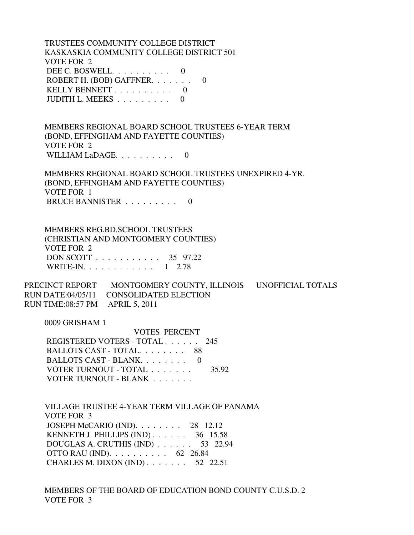TRUSTEES COMMUNITY COLLEGE DISTRICT KASKASKIA COMMUNITY COLLEGE DISTRICT 501 VOTE FOR 2 DEE C. BOSWELL. . . . . . . . . . 0 ROBERT H. (BOB) GAFFNER. . . . . . . 0 KELLY BENNETT . . . . . . . . . . 0 JUDITH L. MEEKS . . . . . . . . . 0

 MEMBERS REGIONAL BOARD SCHOOL TRUSTEES 6-YEAR TERM (BOND, EFFINGHAM AND FAYETTE COUNTIES) VOTE FOR 2 WILLIAM LaDAGE. . . . . . . . . . 0

 MEMBERS REGIONAL BOARD SCHOOL TRUSTEES UNEXPIRED 4-YR. (BOND, EFFINGHAM AND FAYETTE COUNTIES) VOTE FOR 1 BRUCE BANNISTER . . . . . . . . . 0

 MEMBERS REG.BD.SCHOOL TRUSTEES (CHRISTIAN AND MONTGOMERY COUNTIES) VOTE FOR 2 DON SCOTT . . . . . . . . . . . 35 97.22 WRITE-IN. . . . . . . . . . . . 1 2.78

PRECINCT REPORT MONTGOMERY COUNTY, ILLINOIS UNOFFICIAL TOTALS RUN DATE:04/05/11 CONSOLIDATED ELECTION RUN TIME:08:57 PM APRIL 5, 2011

0009 GRISHAM 1

 VOTES PERCENT REGISTERED VOTERS - TOTAL . . . . . . 245 BALLOTS CAST - TOTAL. . . . . . . . 88 BALLOTS CAST - BLANK. . . . . . . . . 0 VOTER TURNOUT - TOTAL . . . . . . . 35.92 VOTER TURNOUT - BLANK . . . . . . .

 VILLAGE TRUSTEE 4-YEAR TERM VILLAGE OF PANAMA VOTE FOR 3 JOSEPH McCARIO (IND). . . . . . . . 28 12.12 KENNETH J. PHILLIPS (IND) . . . . . . 36 15.58 DOUGLAS A. CRUTHIS (IND) . . . . . . 53 22.94 OTTO RAU (IND). . . . . . . . . . 62 26.84 CHARLES M. DIXON (IND) . . . . . . . 52 22.51

 MEMBERS OF THE BOARD OF EDUCATION BOND COUNTY C.U.S.D. 2 VOTE FOR 3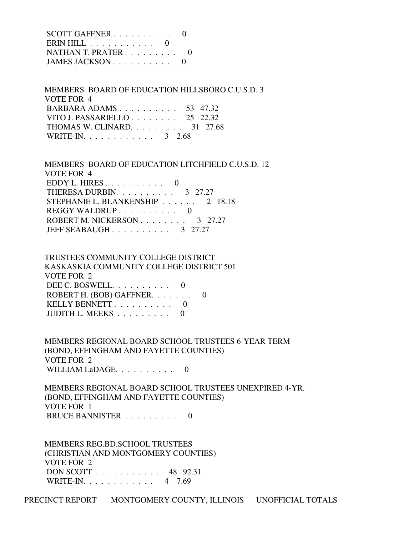| SCOTT GAFFNER $\ldots$ 0 |  |
|--------------------------|--|
| $\text{ERM HILL}$ 0      |  |
| NATHAN T. PRATER         |  |
| JAMES JACKSON $\ldots$ 0 |  |

 MEMBERS BOARD OF EDUCATION HILLSBORO C.U.S.D. 3 VOTE FOR 4 BARBARA ADAMS . . . . . . . . . . 53 47.32 VITO J. PASSARIELLO . . . . . . . . 25 22.32 THOMAS W. CLINARD. . . . . . . . . 31 27.68 WRITE-IN. . . . . . . . . . . . 3 2.68

 MEMBERS BOARD OF EDUCATION LITCHFIELD C.U.S.D. 12 VOTE FOR 4 EDDY L. HIRES . . . . . . . . . . 0 THERESA DURBIN. . . . . . . . . . 3 27.27 STEPHANIE L. BLANKENSHIP . . . . . . 2 18.18 REGGY WALDRUP . . . . . . . . . . 0 ROBERT M. NICKERSON . . . . . . . . 3 27.27 JEFF SEABAUGH . . . . . . . . . . 3 27.27

# TRUSTEES COMMUNITY COLLEGE DISTRICT KASKASKIA COMMUNITY COLLEGE DISTRICT 501 VOTE FOR 2 DEE C. BOSWELL. . . . . . . . . . 0 ROBERT H. (BOB) GAFFNER. . . . . . . 0 KELLY BENNETT . . . . . . . . . . 0 JUDITH L. MEEKS . . . . . . . . . 0

 MEMBERS REGIONAL BOARD SCHOOL TRUSTEES 6-YEAR TERM (BOND, EFFINGHAM AND FAYETTE COUNTIES) VOTE FOR 2 WILLIAM LaDAGE. . . . . . . . . . 0

 MEMBERS REGIONAL BOARD SCHOOL TRUSTEES UNEXPIRED 4-YR. (BOND, EFFINGHAM AND FAYETTE COUNTIES) VOTE FOR 1 BRUCE BANNISTER . . . . . . . . . 0

 MEMBERS REG.BD.SCHOOL TRUSTEES (CHRISTIAN AND MONTGOMERY COUNTIES) VOTE FOR 2 DON SCOTT . . . . . . . . . . . 48 92.31 WRITE-IN. . . . . . . . . . . . 4 7.69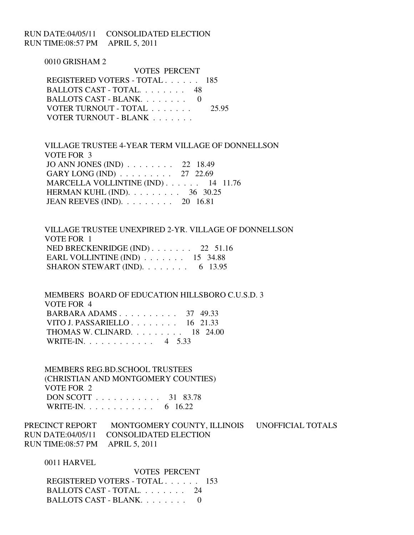RUN DATE:04/05/11 CONSOLIDATED ELECTION RUN TIME:08:57 PM APRIL 5, 2011

> 0010 GRISHAM 2 VOTES PERCENT REGISTERED VOTERS - TOTAL . . . . . . 185 BALLOTS CAST - TOTAL. . . . . . . . 48 BALLOTS CAST - BLANK. . . . . . . . 0 VOTER TURNOUT - TOTAL . . . . . . . 25.95 VOTER TURNOUT - BLANK . . . . . . .

 VILLAGE TRUSTEE 4-YEAR TERM VILLAGE OF DONNELLSON VOTE FOR 3 JO ANN JONES (IND) . . . . . . . . 22 18.49 GARY LONG (IND) . . . . . . . . . 27 22.69 MARCELLA VOLLINTINE (IND) . . . . . . 14 11.76 HERMAN KUHL (IND). . . . . . . . . 36 30.25 JEAN REEVES (IND). . . . . . . . . 20 16.81

 VILLAGE TRUSTEE UNEXPIRED 2-YR. VILLAGE OF DONNELLSON VOTE FOR 1 NED BRECKENRIDGE (IND) . . . . . . . 22 51.16 EARL VOLLINTINE (IND) . . . . . . . 15 34.88 SHARON STEWART (IND).  $\ldots \ldots \ldots$  6 13.95

 MEMBERS BOARD OF EDUCATION HILLSBORO C.U.S.D. 3 VOTE FOR 4 BARBARA ADAMS . . . . . . . . . . 37 49.33 VITO J. PASSARIELLO . . . . . . . . 16 21.33 THOMAS W. CLINARD. . . . . . . . . 18 24.00 WRITE-IN. . . . . . . . . . . . 4 5.33

 MEMBERS REG.BD.SCHOOL TRUSTEES (CHRISTIAN AND MONTGOMERY COUNTIES) VOTE FOR 2 DON SCOTT . . . . . . . . . . . 31 83.78 WRITE-IN. . . . . . . . . . . . . 6 16.22

PRECINCT REPORT MONTGOMERY COUNTY, ILLINOIS UNOFFICIAL TOTALS RUN DATE:04/05/11 CONSOLIDATED ELECTION RUN TIME:08:57 PM APRIL 5, 2011

0011 HARVEL

 VOTES PERCENT REGISTERED VOTERS - TOTAL . . . . . . 153 BALLOTS CAST - TOTAL. . . . . . . . 24 BALLOTS CAST - BLANK. . . . . . . . 0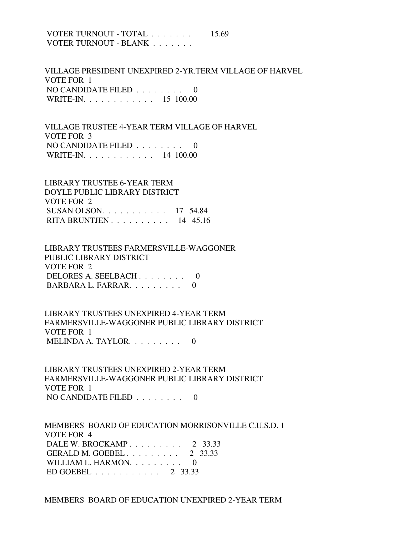VOTER TURNOUT - TOTAL . . . . . . . 15.69 VOTER TURNOUT - BLANK . . . . . . .

 VILLAGE PRESIDENT UNEXPIRED 2-YR.TERM VILLAGE OF HARVEL VOTE FOR 1 NO CANDIDATE FILED . . . . . . . . 0 WRITE-IN. . . . . . . . . . . . 15 100.00

 VILLAGE TRUSTEE 4-YEAR TERM VILLAGE OF HARVEL VOTE FOR 3 NO CANDIDATE FILED  $\ldots \ldots \ldots$ WRITE-IN. . . . . . . . . . . . 14 100.00

 LIBRARY TRUSTEE 6-YEAR TERM DOYLE PUBLIC LIBRARY DISTRICT VOTE FOR 2 SUSAN OLSON. . . . . . . . . . . 17 54.84 RITA BRUNTJEN . . . . . . . . . . 14 45.16

 LIBRARY TRUSTEES FARMERSVILLE-WAGGONER PUBLIC LIBRARY DISTRICT VOTE FOR 2 DELORES A. SEELBACH . . . . . . . . 0 BARBARA L. FARRAR. . . . . . . . . .

 LIBRARY TRUSTEES UNEXPIRED 4-YEAR TERM FARMERSVILLE-WAGGONER PUBLIC LIBRARY DISTRICT VOTE FOR 1 MELINDA A. TAYLOR. . . . . . . . . 0

 LIBRARY TRUSTEES UNEXPIRED 2-YEAR TERM FARMERSVILLE-WAGGONER PUBLIC LIBRARY DISTRICT VOTE FOR 1 NO CANDIDATE FILED . . . . . . . . 0

 MEMBERS BOARD OF EDUCATION MORRISONVILLE C.U.S.D. 1 VOTE FOR 4 DALE W. BROCKAMP . . . . . . . . . 2 33.33 GERALD M. GOEBEL . . . . . . . . . 2 33.33 WILLIAM L. HARMON. . . . . . . . . 0 ED GOEBEL . . . . . . . . . . . 2 33.33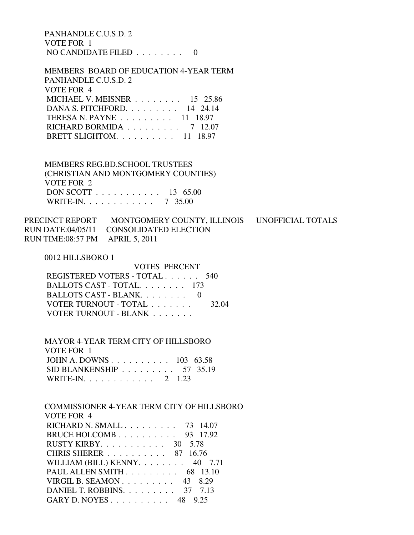PANHANDLE C.U.S.D. 2 VOTE FOR 1 NO CANDIDATE FILED . . . . . . . . 0

 MEMBERS BOARD OF EDUCATION 4-YEAR TERM PANHANDLE C.U.S.D. 2 VOTE FOR 4 MICHAEL V. MEISNER . . . . . . . . 15 25.86 DANA S. PITCHFORD. . . . . . . . . 14 24.14 TERESA N. PAYNE . . . . . . . . . 11 18.97 RICHARD BORMIDA . . . . . . . . . 7 12.07 BRETT SLIGHTOM. . . . . . . . . . 11 18.97

 MEMBERS REG.BD.SCHOOL TRUSTEES (CHRISTIAN AND MONTGOMERY COUNTIES) VOTE FOR 2 DON SCOTT . . . . . . . . . . . 13 65.00 WRITE-IN. . . . . . . . . . . . 7 35.00

PRECINCT REPORT MONTGOMERY COUNTY, ILLINOIS UNOFFICIAL TOTALS RUN DATE:04/05/11 CONSOLIDATED ELECTION RUN TIME:08:57 PM APRIL 5, 2011

0012 HILLSBORO 1

 VOTES PERCENT REGISTERED VOTERS - TOTAL . . . . . . 540 BALLOTS CAST - TOTAL. . . . . . . . 173 BALLOTS CAST - BLANK. . . . . . . . 0 VOTER TURNOUT - TOTAL . . . . . . . 32.04 VOTER TURNOUT - BLANK . . . . . . .

 MAYOR 4-YEAR TERM CITY OF HILLSBORO VOTE FOR 1 JOHN A. DOWNS . . . . . . . . . . 103 63.58 SID BLANKENSHIP . . . . . . . . . 57 35.19 WRITE-IN. . . . . . . . . . . . 2 1.23

 COMMISSIONER 4-YEAR TERM CITY OF HILLSBORO VOTE FOR 4 RICHARD N. SMALL . . . . . . . . . 73 14.07 BRUCE HOLCOMB . . . . . . . . . . 93 17.92 RUSTY KIRBY. . . . . . . . . . . 30 5.78 CHRIS SHERER . . . . . . . . . . 87 16.76 WILLIAM (BILL) KENNY.  $\ldots$  . . . . . 40 7.71 PAUL ALLEN SMITH . . . . . . . . . 68 13.10 VIRGIL B. SEAMON . . . . . . . . . 43 8.29 DANIEL T. ROBBINS. . . . . . . . . 37 7.13 GARY D. NOYES . . . . . . . . . . 48 9.25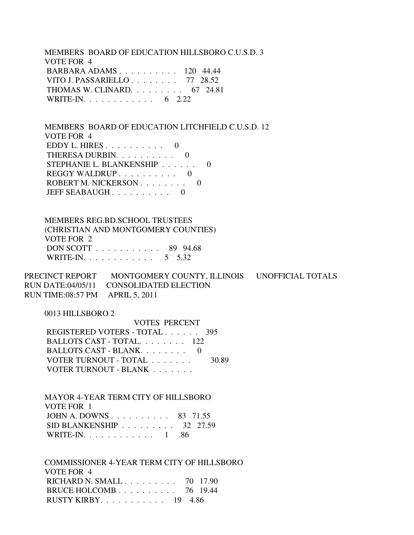MEMBERS BOARD OF EDUCATION HILLSBORO C.U.S.D. 3 VOTE FOR 4 BARBARA ADAMS . . . . . . . . . . 120 44.44 VITO J. PASSARIELLO . . . . . . . . 77 28.52 THOMAS W. CLINARD. . . . . . . . . 67 24.81 WRITE-IN. . . . . . . . . . . . . 6 2.22

 MEMBERS BOARD OF EDUCATION LITCHFIELD C.U.S.D. 12 VOTE FOR 4 EDDY L. HIRES . . . . . . . . . . 0 THERESA DURBIN. . . . . . . . . . 0 STEPHANIE L. BLANKENSHIP . . . . . . 0 REGGY WALDRUP . . . . . . . . . . 0 ROBERT M. NICKERSON . . . . . . . . 0 JEFF SEABAUGH . . . . . . . . . 0

 MEMBERS REG.BD.SCHOOL TRUSTEES (CHRISTIAN AND MONTGOMERY COUNTIES) VOTE FOR 2 DON SCOTT . . . . . . . . . . . 89 94.68 WRITE-IN. . . . . . . . . . . . 5 5.32

PRECINCT REPORT MONTGOMERY COUNTY, ILLINOIS UNOFFICIAL TOTALS RUN DATE:04/05/11 CONSOLIDATED ELECTION RUN TIME:08:57 PM APRIL 5, 2011

0013 HILLSBORO 2

| <b>VOTES PERCENT</b>          |       |
|-------------------------------|-------|
| REGISTERED VOTERS - TOTAL 395 |       |
| BALLOTS CAST - TOTAL 122      |       |
| BALLOTS CAST - BLANK $0$      |       |
| VOTER TURNOUT - TOTAL         | 30.89 |
| VOTER TURNOUT - BLANK         |       |

 MAYOR 4-YEAR TERM CITY OF HILLSBORO VOTE FOR 1 JOHN A. DOWNS . . . . . . . . . . 83 71.55 SID BLANKENSHIP . . . . . . . . . 32 27.59 WRITE-IN. . . . . . . . . . . . 1 .86

 COMMISSIONER 4-YEAR TERM CITY OF HILLSBORO VOTE FOR 4 RICHARD N. SMALL . . . . . . . . . 70 17.90 BRUCE HOLCOMB . . . . . . . . . . 76 19.44 RUSTY KIRBY. . . . . . . . . . . 19 4.86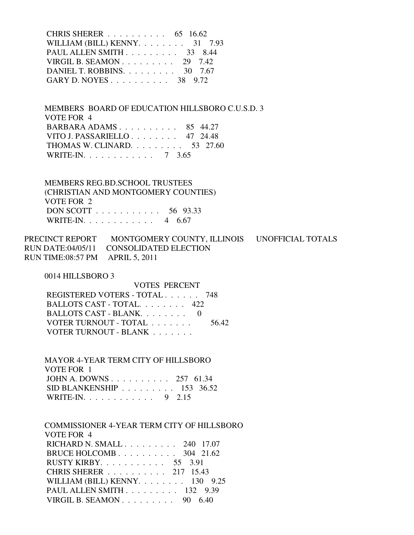| CHRIS SHERER 65 16.62                  |  |
|----------------------------------------|--|
| WILLIAM (BILL) KENNY. $\ldots$ 31 7.93 |  |
| PAUL ALLEN SMITH 33 8.44               |  |
| VIRGIL B. SEAMON $29$ 7.42             |  |
| DANIEL T. ROBBINS. $\ldots$ 30 7.67    |  |
| GARY D. NOYES 38 9.72                  |  |

 MEMBERS BOARD OF EDUCATION HILLSBORO C.U.S.D. 3 VOTE FOR 4 BARBARA ADAMS . . . . . . . . . . 85 44.27 VITO J. PASSARIELLO . . . . . . . . 47 24.48 THOMAS W. CLINARD. . . . . . . . . 53 27.60 WRITE-IN. . . . . . . . . . . . 7 3.65

 MEMBERS REG.BD.SCHOOL TRUSTEES (CHRISTIAN AND MONTGOMERY COUNTIES) VOTE FOR 2 DON SCOTT . . . . . . . . . . . 56 93.33 WRITE-IN. . . . . . . . . . . . 4 6.67

PRECINCT REPORT MONTGOMERY COUNTY, ILLINOIS UNOFFICIAL TOTALS RUN DATE:04/05/11 CONSOLIDATED ELECTION RUN TIME:08:57 PM APRIL 5, 2011

0014 HILLSBORO 3

 VOTES PERCENT REGISTERED VOTERS - TOTAL . . . . . . 748 BALLOTS CAST - TOTAL. . . . . . . . 422 BALLOTS CAST - BLANK. . . . . . . . 0 VOTER TURNOUT - TOTAL . . . . . . . 56.42 VOTER TURNOUT - BLANK . . . . . . .

 MAYOR 4-YEAR TERM CITY OF HILLSBORO VOTE FOR 1 JOHN A. DOWNS . . . . . . . . . . 257 61.34 SID BLANKENSHIP . . . . . . . . . 153 36.52 WRITE-IN. . . . . . . . . . . . 9 2.15

 COMMISSIONER 4-YEAR TERM CITY OF HILLSBORO VOTE FOR 4 RICHARD N. SMALL . . . . . . . . . 240 17.07 BRUCE HOLCOMB . . . . . . . . . . 304 21.62 RUSTY KIRBY. . . . . . . . . . . 55 3.91 CHRIS SHERER . . . . . . . . . . 217 15.43 WILLIAM (BILL) KENNY. . . . . . . . 130 9.25 PAUL ALLEN SMITH . . . . . . . . . 132 9.39 VIRGIL B. SEAMON . . . . . . . . . 90 6.40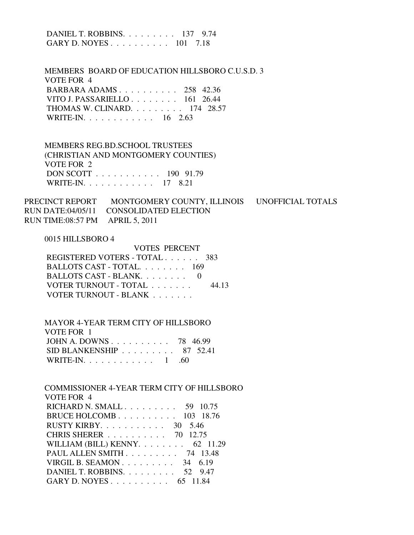DANIEL T. ROBBINS. . . . . . . . . 137 9.74 GARY D. NOYES . . . . . . . . . . 101 7.18 MEMBERS BOARD OF EDUCATION HILLSBORO C.U.S.D. 3 VOTE FOR 4 BARBARA ADAMS . . . . . . . . . . 258 42.36 VITO J. PASSARIELLO . . . . . . . . 161 26.44 THOMAS W. CLINARD. . . . . . . . . 174 28.57 WRITE-IN. . . . . . . . . . . . 16 2.63 MEMBERS REG.BD.SCHOOL TRUSTEES (CHRISTIAN AND MONTGOMERY COUNTIES) VOTE FOR 2 DON SCOTT . . . . . . . . . . . 190 91.79 WRITE-IN. . . . . . . . . . . . 17 8.21 PRECINCT REPORT MONTGOMERY COUNTY, ILLINOIS UNOFFICIAL TOTALS RUN DATE:04/05/11 CONSOLIDATED ELECTION RUN TIME:08:57 PM APRIL 5, 2011 0015 HILLSBORO 4 VOTES PERCENT REGISTERED VOTERS - TOTAL . . . . . . 383 BALLOTS CAST - TOTAL. . . . . . . . 169 BALLOTS CAST - BLANK. . . . . . . . 0 VOTER TURNOUT - TOTAL . . . . . . . 44.13 VOTER TURNOUT - BLANK . . . . . . . MAYOR 4-YEAR TERM CITY OF HILLSBORO VOTE FOR 1 JOHN A. DOWNS . . . . . . . . . . 78 46.99 SID BLANKENSHIP . . . . . . . . . 87 52.41 WRITE-IN. . . . . . . . . . . . . 1 .60 COMMISSIONER 4-YEAR TERM CITY OF HILLSBORO VOTE FOR 4 RICHARD N. SMALL . . . . . . . . . 59 10.75 BRUCE HOLCOMB . . . . . . . . . . 103 18.76 RUSTY KIRBY. . . . . . . . . . . 30 5.46 CHRIS SHERER . . . . . . . . . . 70 12.75 WILLIAM (BILL) KENNY. . . . . . . . 62 11.29 PAUL ALLEN SMITH . . . . . . . . . 74 13.48 VIRGIL B. SEAMON . . . . . . . . . 34 6.19 DANIEL T. ROBBINS. . . . . . . . . 52 9.47 GARY D. NOYES . . . . . . . . . . 65 11.84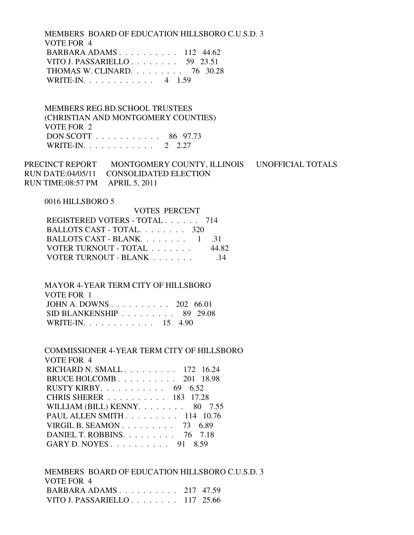MEMBERS BOARD OF EDUCATION HILLSBORO C.U.S.D. 3 VOTE FOR 4 BARBARA ADAMS . . . . . . . . . . 112 44.62 VITO J. PASSARIELLO . . . . . . . . 59 23.51 THOMAS W. CLINARD. . . . . . . . . 76 30.28 WRITE-IN. . . . . . . . . . . . 4 1.59

 MEMBERS REG.BD.SCHOOL TRUSTEES (CHRISTIAN AND MONTGOMERY COUNTIES) VOTE FOR 2 DON SCOTT . . . . . . . . . . . 86 97.73 WRITE-IN. . . . . . . . . . . . 2 2.27

PRECINCT REPORT MONTGOMERY COUNTY, ILLINOIS UNOFFICIAL TOTALS RUN DATE:04/05/11 CONSOLIDATED ELECTION RUN TIME:08:57 PM APRIL 5, 2011

#### 0016 HILLSBORO 5

| VOTES PERCENT                 |       |
|-------------------------------|-------|
| REGISTERED VOTERS - TOTAL 714 |       |
| BALLOTS CAST - TOTAL 320      |       |
| BALLOTS CAST - BLANK $1$      | -31   |
| VOTER TURNOUT - TOTAL         | 44.82 |
| VOTER TURNOUT - BLANK         | -14   |

 MAYOR 4-YEAR TERM CITY OF HILLSBORO VOTE FOR 1 JOHN A. DOWNS . . . . . . . . . . 202 66.01 SID BLANKENSHIP . . . . . . . . . 89 29.08

|  | WRITE-IN. $\ldots$ |  |  |  |  |  |  | 15 4.90 |
|--|--------------------|--|--|--|--|--|--|---------|

| COMMISSIONER 4-YEAR TERM CITY OF HILLSBORO |
|--------------------------------------------|
| VOTE FOR 4                                 |
| RICHARD N. SMALL 172 16.24                 |
| BRUCE HOLCOMB $201$ 18.98                  |
| RUSTY KIRBY. $\ldots$ 69 6.52              |
| CHRIS SHERER 183 17.28                     |
| WILLIAM (BILL) KENNY. $\ldots$ 80 7.55     |
| PAUL ALLEN SMITH 114 10.76                 |
| VIRGIL B. SEAMON $73\quad 6.89$            |
| DANIEL T. ROBBINS. $\ldots$ 76 7.18        |
| GARY D. NOYES 91 8.59                      |

 MEMBERS BOARD OF EDUCATION HILLSBORO C.U.S.D. 3 VOTE FOR 4 BARBARA ADAMS . . . . . . . . . . 217 47.59 VITO J. PASSARIELLO . . . . . . . . 117 25.66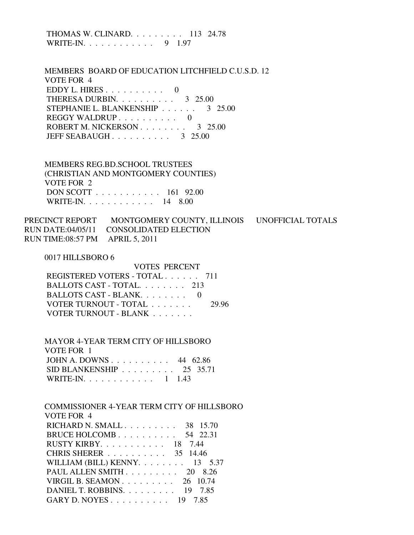| THOMAS W. CLINARD. $\ldots$ 113 24.78 |  |
|---------------------------------------|--|
| WRITE-IN. $\ldots$<br>9 1.97          |  |

 MEMBERS BOARD OF EDUCATION LITCHFIELD C.U.S.D. 12 VOTE FOR 4 EDDY L. HIRES  $\ldots$  . . . . . . . 0 THERESA DURBIN. . . . . . . . . . 3 25.00 STEPHANIE L. BLANKENSHIP . . . . . . 3 25.00 REGGY WALDRUP . . . . . . . . . . 0 ROBERT M. NICKERSON . . . . . . . . 3 25.00 JEFF SEABAUGH . . . . . . . . . . 3 25.00

 MEMBERS REG.BD.SCHOOL TRUSTEES (CHRISTIAN AND MONTGOMERY COUNTIES) VOTE FOR 2 DON SCOTT . . . . . . . . . . . 161 92.00 WRITE-IN. . . . . . . . . . . . 14 8.00

PRECINCT REPORT MONTGOMERY COUNTY, ILLINOIS UNOFFICIAL TOTALS RUN DATE:04/05/11 CONSOLIDATED ELECTION RUN TIME:08:57 PM APRIL 5, 2011

#### 0017 HILLSBORO 6

| VOTES PERCENT                 |       |
|-------------------------------|-------|
| REGISTERED VOTERS - TOTAL 711 |       |
| BALLOTS CAST - TOTAL. 213     |       |
| BALLOTS CAST - BLANK          |       |
| VOTER TURNOUT - TOTAL         | 29.96 |
| VOTER TURNOUT - BLANK         |       |

| <b>MAYOR 4-YEAR TERM CITY OF HILLSBORO</b>      |  |
|-------------------------------------------------|--|
| VOTE FOR 1                                      |  |
| JOHN A. DOWNS 44 $62.86$                        |  |
| SID BLANKENSHIP $\ldots \ldots \ldots$ 25 35.71 |  |
| WRITE-IN. 1 1.43                                |  |

 COMMISSIONER 4-YEAR TERM CITY OF HILLSBORO VOTE FOR 4 RICHARD N. SMALL . . . . . . . . . 38 15.70 BRUCE HOLCOMB . . . . . . . . . . 54 22.31 RUSTY KIRBY. . . . . . . . . . . 18 7.44 CHRIS SHERER . . . . . . . . . . 35 14.46 WILLIAM (BILL) KENNY. . . . . . . . 13 5.37 PAUL ALLEN SMITH . . . . . . . . . 20 8.26 VIRGIL B. SEAMON . . . . . . . . . 26 10.74 DANIEL T. ROBBINS. . . . . . . . . 19 7.85 GARY D. NOYES . . . . . . . . . . 19 7.85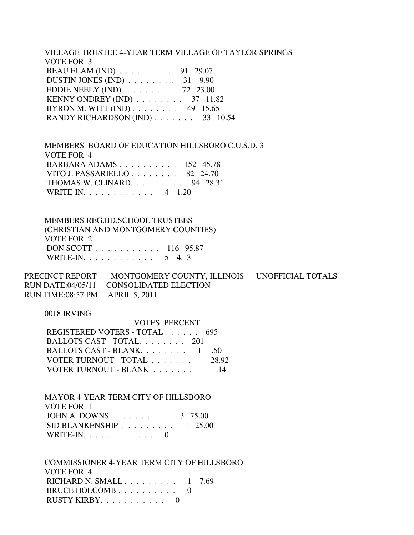VILLAGE TRUSTEE 4-YEAR TERM VILLAGE OF TAYLOR SPRINGS VOTE FOR 3 BEAU ELAM (IND) . . . . . . . . . 91 29.07 DUSTIN JONES (IND) . . . . . . . . 31 9.90 EDDIE NEELY (IND). . . . . . . . . 72 23.00 KENNY ONDREY (IND) . . . . . . . . 37 11.82 BYRON M. WITT (IND) . . . . . . . . 49 15.65 RANDY RICHARDSON (IND) . . . . . . . 33 10.54

 MEMBERS BOARD OF EDUCATION HILLSBORO C.U.S.D. 3 VOTE FOR 4 BARBARA ADAMS . . . . . . . . . . 152 45.78 VITO J. PASSARIELLO . . . . . . . . 82 24.70 THOMAS W. CLINARD. . . . . . . . . 94 28.31 WRITE-IN. . . . . . . . . . . . 4 1.20

 MEMBERS REG.BD.SCHOOL TRUSTEES (CHRISTIAN AND MONTGOMERY COUNTIES) VOTE FOR 2 DON SCOTT . . . . . . . . . . . 116 95.87 WRITE-IN. . . . . . . . . . . . . 5 4.13

PRECINCT REPORT MONTGOMERY COUNTY, ILLINOIS UNOFFICIAL TOTALS RUN DATE:04/05/11 CONSOLIDATED ELECTION RUN TIME:08:57 PM APRIL 5, 2011

VOTES PERCENT

### 0018 IRVING

| VOTES PERCENT                 |       |
|-------------------------------|-------|
| REGISTERED VOTERS - TOTAL 695 |       |
| BALLOTS CAST - TOTAL 201      |       |
| BALLOTS CAST - BLANK. 1 .50   |       |
| VOTER TURNOUT - TOTAL         | 28.92 |
| VOTER TURNOUT - BLANK         | -14   |

 MAYOR 4-YEAR TERM CITY OF HILLSBORO VOTE FOR 1 JOHN A. DOWNS . . . . . . . . . . 3 75.00 SID BLANKENSHIP . . . . . . . . . 1 25.00 WRITE-IN.  $\ldots$  . . . . . . . . . 0

 COMMISSIONER 4-YEAR TERM CITY OF HILLSBORO VOTE FOR 4 RICHARD N. SMALL  $\ldots$  . . . . . . . 1 7.69 BRUCE HOLCOMB . . . . . . . . . . 0 RUSTY KIRBY. . . . . . . . . . . 0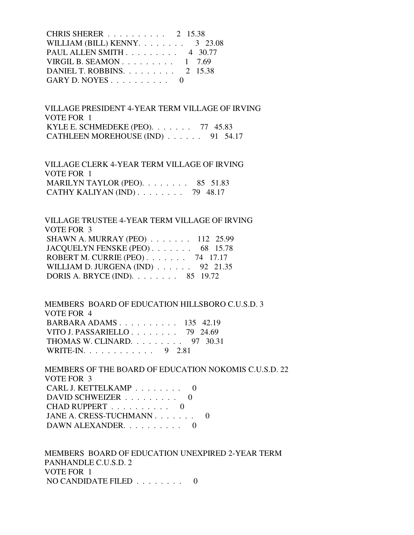CHRIS SHERER . . . . . . . . . . 2 15.38 WILLIAM (BILL) KENNY.  $\ldots$  . . . . . 3 23.08 PAUL ALLEN SMITH . . . . . . . . . 4 30.77 VIRGIL B. SEAMON . . . . . . . . . 1 7.69 DANIEL T. ROBBINS. . . . . . . . . 2 15.38 GARY D. NOYES  $\ldots$  . . . . . . . 0

 VILLAGE PRESIDENT 4-YEAR TERM VILLAGE OF IRVING VOTE FOR 1 KYLE E. SCHMEDEKE (PEO). . . . . . . 77 45.83 CATHLEEN MOREHOUSE (IND) . . . . . . 91 54.17

 VILLAGE CLERK 4-YEAR TERM VILLAGE OF IRVING VOTE FOR 1 MARILYN TAYLOR (PEO). . . . . . . . 85 51.83 CATHY KALIYAN (IND) . . . . . . . . 79 48.17

 VILLAGE TRUSTEE 4-YEAR TERM VILLAGE OF IRVING VOTE FOR 3 SHAWN A. MURRAY (PEO) . . . . . . . 112 25.99 JACQUELYN FENSKE (PEO) . . . . . . . 68 15.78 ROBERT M. CURRIE (PEO) . . . . . . . 74 17.17 WILLIAM D. JURGENA (IND) . . . . . . 92 21.35 DORIS A. BRYCE (IND). . . . . . . . 85 19.72

 MEMBERS BOARD OF EDUCATION HILLSBORO C.U.S.D. 3 VOTE FOR 4 BARBARA ADAMS . . . . . . . . . . 135 42.19 VITO J. PASSARIELLO . . . . . . . . 79 24.69 THOMAS W. CLINARD. . . . . . . . . 97 30.31 WRITE-IN. . . . . . . . . . . . 9 2.81

 MEMBERS OF THE BOARD OF EDUCATION NOKOMIS C.U.S.D. 22 VOTE FOR 3 CARL J. KETTELKAMP . . . . . . . . 0 DAVID SCHWEIZER . . . . . . . . . 0 CHAD RUPPERT . . . . . . . . . . 0 JANE A. CRESS-TUCHMANN . . . . . . . 0 DAWN ALEXANDER.  $\ldots$  . . . . . . 0

 MEMBERS BOARD OF EDUCATION UNEXPIRED 2-YEAR TERM PANHANDLE C.U.S.D. 2 VOTE FOR 1 NO CANDIDATE FILED  $\ldots \ldots \ldots$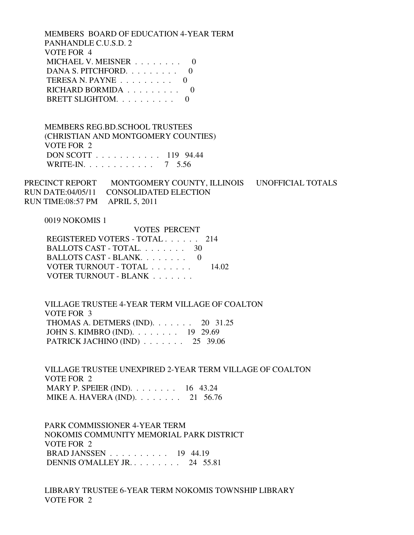MEMBERS BOARD OF EDUCATION 4-YEAR TERM PANHANDLE C.U.S.D. 2 VOTE FOR 4 MICHAEL V. MEISNER . . . . . . . . 0 DANA S. PITCHFORD. . . . . . . . . 0 TERESA N. PAYNE . . . . . . . . . 0 RICHARD BORMIDA . . . . . . . . . 0 BRETT SLIGHTOM. . . . . . . . . . 0

 MEMBERS REG.BD.SCHOOL TRUSTEES (CHRISTIAN AND MONTGOMERY COUNTIES) VOTE FOR 2 DON SCOTT . . . . . . . . . . . 119 94.44 WRITE-IN. . . . . . . . . . . . 7 5.56

PRECINCT REPORT MONTGOMERY COUNTY, ILLINOIS UNOFFICIAL TOTALS RUN DATE:04/05/11 CONSOLIDATED ELECTION RUN TIME:08:57 PM APRIL 5, 2011

0019 NOKOMIS 1

 VOTES PERCENT REGISTERED VOTERS - TOTAL . . . . . . 214 BALLOTS CAST - TOTAL. . . . . . . . 30 BALLOTS CAST - BLANK. . . . . . . . 0 VOTER TURNOUT - TOTAL . . . . . . . 14.02 VOTER TURNOUT - BLANK . . . . . . .

 VILLAGE TRUSTEE 4-YEAR TERM VILLAGE OF COALTON VOTE FOR 3 THOMAS A. DETMERS (IND). . . . . . . 20 31.25 JOHN S. KIMBRO (IND). . . . . . . . 19 29.69 PATRICK JACHINO (IND) . . . . . . . 25 39.06

 VILLAGE TRUSTEE UNEXPIRED 2-YEAR TERM VILLAGE OF COALTON VOTE FOR 2 MARY P. SPEIER (IND). . . . . . . . 16 43.24 MIKE A. HAVERA (IND). . . . . . . . 21 56.76

 PARK COMMISSIONER 4-YEAR TERM NOKOMIS COMMUNITY MEMORIAL PARK DISTRICT VOTE FOR 2 BRAD JANSSEN . . . . . . . . . . 19 44.19 DENNIS O'MALLEY JR. . . . . . . . . 24 55.81

 LIBRARY TRUSTEE 6-YEAR TERM NOKOMIS TOWNSHIP LIBRARY VOTE FOR 2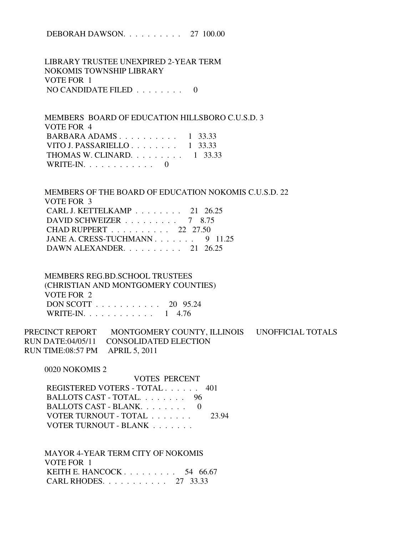DEBORAH DAWSON. . . . . . . . . . 27 100.00

 LIBRARY TRUSTEE UNEXPIRED 2-YEAR TERM NOKOMIS TOWNSHIP LIBRARY VOTE FOR 1 NO CANDIDATE FILED . . . . . . . . 0

 MEMBERS BOARD OF EDUCATION HILLSBORO C.U.S.D. 3 VOTE FOR 4 BARBARA ADAMS . . . . . . . . . . 1 33.33 VITO J. PASSARIELLO  $\ldots$  . . . . . . 1 33.33 THOMAS W. CLINARD.  $\ldots$  . . . . . . 1 33.33 WRITE-IN.  $\ldots \ldots \ldots \ldots 0$ 

 MEMBERS OF THE BOARD OF EDUCATION NOKOMIS C.U.S.D. 22 VOTE FOR 3 CARL J. KETTELKAMP . . . . . . . . 21 26.25 DAVID SCHWEIZER . . . . . . . . . 7 8.75 CHAD RUPPERT . . . . . . . . . . 22 27.50 JANE A. CRESS-TUCHMANN . . . . . . . 9 11.25 DAWN ALEXANDER. . . . . . . . . . 21 26.25

 MEMBERS REG.BD.SCHOOL TRUSTEES (CHRISTIAN AND MONTGOMERY COUNTIES) VOTE FOR 2 DON SCOTT . . . . . . . . . . . 20 95.24 WRITE-IN. . . . . . . . . . . . 1 4.76

PRECINCT REPORT MONTGOMERY COUNTY, ILLINOIS UNOFFICIAL TOTALS RUN DATE:04/05/11 CONSOLIDATED ELECTION RUN TIME:08:57 PM APRIL 5, 2011

0020 NOKOMIS 2

 VOTES PERCENT REGISTERED VOTERS - TOTAL . . . . . . 401 BALLOTS CAST - TOTAL. . . . . . . . 96 BALLOTS CAST - BLANK. . . . . . . . 0 VOTER TURNOUT - TOTAL . . . . . . . 23.94 VOTER TURNOUT - BLANK . . . . . . .

 MAYOR 4-YEAR TERM CITY OF NOKOMIS VOTE FOR 1 KEITH E. HANCOCK . . . . . . . . . . 54 66.67 CARL RHODES. . . . . . . . . . . 27 33.33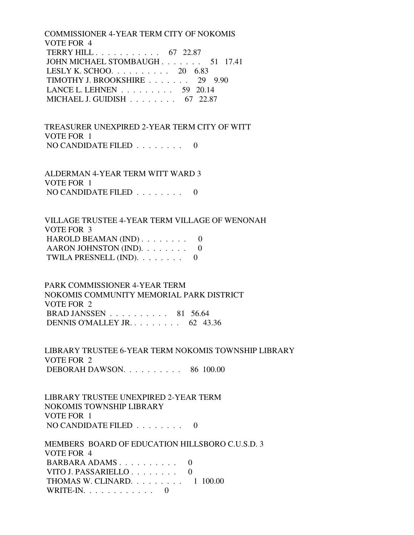COMMISSIONER 4-YEAR TERM CITY OF NOKOMIS VOTE FOR 4 TERRY HILL . . . . . . . . . . . 67 22.87 JOHN MICHAEL STOMBAUGH . . . . . . . 51 17.41 LESLY K. SCHOO. . . . . . . . . . 20 6.83 TIMOTHY J. BROOKSHIRE . . . . . . . 29 9.90 LANCE L. LEHNEN . . . . . . . . . 59 20.14 MICHAEL J. GUIDISH . . . . . . . . 67 22.87

 TREASURER UNEXPIRED 2-YEAR TERM CITY OF WITT VOTE FOR 1 NO CANDIDATE FILED  $\ldots \ldots \ldots$ 

 ALDERMAN 4-YEAR TERM WITT WARD 3 VOTE FOR 1 NO CANDIDATE FILED  $\ldots \ldots \ldots$ 

 VILLAGE TRUSTEE 4-YEAR TERM VILLAGE OF WENONAH VOTE FOR 3 HAROLD BEAMAN (IND)  $\ldots \ldots \ldots$  0 AARON JOHNSTON (IND). . . . . . . . 0 TWILA PRESNELL  $(IND)$ . . . . . . . . 0

 PARK COMMISSIONER 4-YEAR TERM NOKOMIS COMMUNITY MEMORIAL PARK DISTRICT VOTE FOR 2 BRAD JANSSEN . . . . . . . . . . 81 56.64 DENNIS O'MALLEY JR. . . . . . . . . 62 43.36

 LIBRARY TRUSTEE 6-YEAR TERM NOKOMIS TOWNSHIP LIBRARY VOTE FOR 2 DEBORAH DAWSON. . . . . . . . . . 86 100.00

 LIBRARY TRUSTEE UNEXPIRED 2-YEAR TERM NOKOMIS TOWNSHIP LIBRARY VOTE FOR 1 NO CANDIDATE FILED . . . . . . . . 0

 MEMBERS BOARD OF EDUCATION HILLSBORO C.U.S.D. 3 VOTE FOR 4 BARBARA ADAMS . . . . . . . . . . 0 VITO J. PASSARIELLO . . . . . . . . 0 THOMAS W. CLINARD. . . . . . . . . 1 100.00 WRITE-IN.  $\ldots$  . . . . . . . . . 0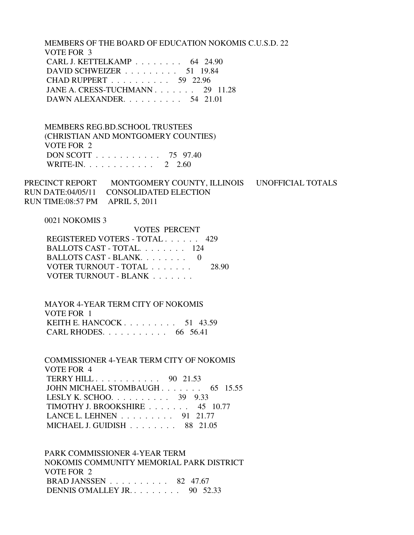MEMBERS OF THE BOARD OF EDUCATION NOKOMIS C.U.S.D. 22 VOTE FOR 3 CARL J. KETTELKAMP . . . . . . . . 64 24.90 DAVID SCHWEIZER . . . . . . . . . 51 19.84 CHAD RUPPERT . . . . . . . . . . 59 22.96 JANE A. CRESS-TUCHMANN . . . . . . . 29 11.28 DAWN ALEXANDER. . . . . . . . . . 54 21.01

 MEMBERS REG.BD.SCHOOL TRUSTEES (CHRISTIAN AND MONTGOMERY COUNTIES) VOTE FOR 2 DON SCOTT . . . . . . . . . . . 75 97.40 WRITE-IN. . . . . . . . . . . . 2 2.60

PRECINCT REPORT MONTGOMERY COUNTY, ILLINOIS UNOFFICIAL TOTALS RUN DATE:04/05/11 CONSOLIDATED ELECTION RUN TIME:08:57 PM APRIL 5, 2011

0021 NOKOMIS 3

|                               | <b>VOTES PERCENT</b> |  |  |  |
|-------------------------------|----------------------|--|--|--|
| REGISTERED VOTERS - TOTAL 429 |                      |  |  |  |
| BALLOTS CAST - TOTAL 124      |                      |  |  |  |
| BALLOTS CAST - BLANK $0$      |                      |  |  |  |
| VOTER TURNOUT - TOTAL         | 28.90                |  |  |  |
| VOTER TURNOUT - BLANK         |                      |  |  |  |

 MAYOR 4-YEAR TERM CITY OF NOKOMIS VOTE FOR 1 KEITH E. HANCOCK . . . . . . . . . 51 43.59 CARL RHODES. . . . . . . . . . . 66 56.41

 COMMISSIONER 4-YEAR TERM CITY OF NOKOMIS VOTE FOR 4 TERRY HILL . . . . . . . . . . . 90 21.53 JOHN MICHAEL STOMBAUGH . . . . . . . 65 15.55 LESLY K. SCHOO. . . . . . . . . . 39 9.33 TIMOTHY J. BROOKSHIRE . . . . . . . 45 10.77 LANCE L. LEHNEN . . . . . . . . . 91 21.77 MICHAEL J. GUIDISH . . . . . . . . 88 21.05

 PARK COMMISSIONER 4-YEAR TERM NOKOMIS COMMUNITY MEMORIAL PARK DISTRICT VOTE FOR 2 BRAD JANSSEN . . . . . . . . . . 82 47.67 DENNIS O'MALLEY JR. . . . . . . . . 90 52.33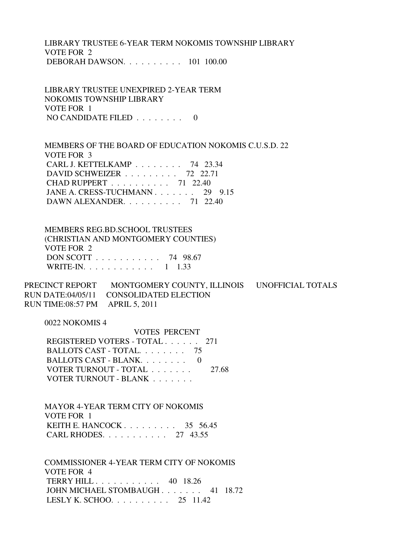LIBRARY TRUSTEE 6-YEAR TERM NOKOMIS TOWNSHIP LIBRARY VOTE FOR 2 DEBORAH DAWSON. . . . . . . . . . 101 100.00

 LIBRARY TRUSTEE UNEXPIRED 2-YEAR TERM NOKOMIS TOWNSHIP LIBRARY VOTE FOR 1 NO CANDIDATE FILED . . . . . . . . 0

 MEMBERS OF THE BOARD OF EDUCATION NOKOMIS C.U.S.D. 22 VOTE FOR 3 CARL J. KETTELKAMP . . . . . . . . 74 23.34 DAVID SCHWEIZER . . . . . . . . . 72 22.71 CHAD RUPPERT . . . . . . . . . . 71 22.40 JANE A. CRESS-TUCHMANN . . . . . . . 29 9.15 DAWN ALEXANDER. . . . . . . . . . 71 22.40

 MEMBERS REG.BD.SCHOOL TRUSTEES (CHRISTIAN AND MONTGOMERY COUNTIES) VOTE FOR 2 DON SCOTT . . . . . . . . . . . 74 98.67 WRITE-IN. . . . . . . . . . . . 1 1.33

PRECINCT REPORT MONTGOMERY COUNTY, ILLINOIS UNOFFICIAL TOTALS RUN DATE:04/05/11 CONSOLIDATED ELECTION RUN TIME:08:57 PM APRIL 5, 2011

0022 NOKOMIS 4

 VOTES PERCENT REGISTERED VOTERS - TOTAL . . . . . . 271 BALLOTS CAST - TOTAL. . . . . . . . 75 BALLOTS CAST - BLANK. . . . . . . . 0 VOTER TURNOUT - TOTAL . . . . . . . 27.68 VOTER TURNOUT - BLANK . . . . . . .

 MAYOR 4-YEAR TERM CITY OF NOKOMIS VOTE FOR 1 KEITH E. HANCOCK . . . . . . . . . 35 56.45 CARL RHODES. . . . . . . . . . . 27 43.55

 COMMISSIONER 4-YEAR TERM CITY OF NOKOMIS VOTE FOR 4 TERRY HILL . . . . . . . . . . . 40 18.26 JOHN MICHAEL STOMBAUGH . . . . . . . 41 18.72 LESLY K. SCHOO. . . . . . . . . . 25 11.42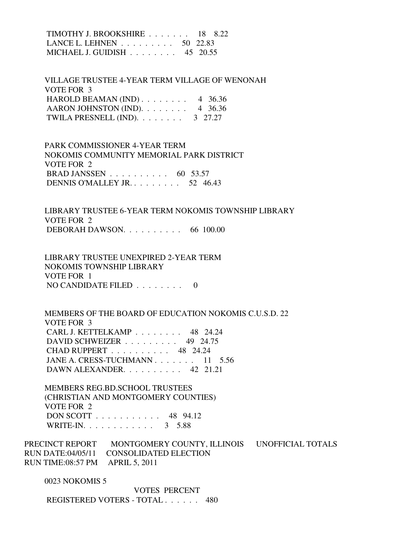TIMOTHY J. BROOKSHIRE . . . . . . . 18 8.22 LANCE L. LEHNEN . . . . . . . . . 50 22.83 MICHAEL J. GUIDISH . . . . . . . . 45 20.55

 VILLAGE TRUSTEE 4-YEAR TERM VILLAGE OF WENONAH VOTE FOR 3 HAROLD BEAMAN (IND)  $\ldots$  . . . . . . 4 36.36 AARON JOHNSTON (IND).  $\ldots$  . . . . . 4 36.36 TWILA PRESNELL (IND).  $\ldots$  . . . . . . 3 27.27

 PARK COMMISSIONER 4-YEAR TERM NOKOMIS COMMUNITY MEMORIAL PARK DISTRICT VOTE FOR 2 BRAD JANSSEN . . . . . . . . . . 60 53.57 DENNIS O'MALLEY JR. . . . . . . . . 52 46.43

 LIBRARY TRUSTEE 6-YEAR TERM NOKOMIS TOWNSHIP LIBRARY VOTE FOR 2 DEBORAH DAWSON. . . . . . . . . . 66 100.00

 LIBRARY TRUSTEE UNEXPIRED 2-YEAR TERM NOKOMIS TOWNSHIP LIBRARY VOTE FOR 1 NO CANDIDATE FILED . . . . . . . . 0

 MEMBERS OF THE BOARD OF EDUCATION NOKOMIS C.U.S.D. 22 VOTE FOR 3 CARL J. KETTELKAMP . . . . . . . . 48 24.24 DAVID SCHWEIZER . . . . . . . . . 49 24.75 CHAD RUPPERT . . . . . . . . . . 48 24.24 JANE A. CRESS-TUCHMANN . . . . . . . 11 5.56 DAWN ALEXANDER. . . . . . . . . . 42 21.21

 MEMBERS REG.BD.SCHOOL TRUSTEES (CHRISTIAN AND MONTGOMERY COUNTIES) VOTE FOR 2 DON SCOTT . . . . . . . . . . . 48 94.12 WRITE-IN. . . . . . . . . . . . . 3 5.88

PRECINCT REPORT MONTGOMERY COUNTY, ILLINOIS UNOFFICIAL TOTALS RUN DATE:04/05/11 CONSOLIDATED ELECTION RUN TIME:08:57 PM APRIL 5, 2011

0023 NOKOMIS 5

 VOTES PERCENT REGISTERED VOTERS - TOTAL . . . . . . 480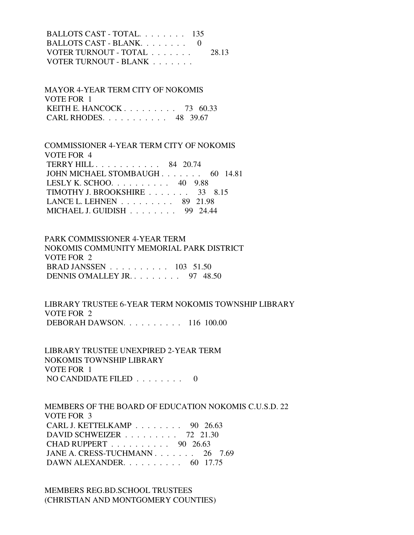BALLOTS CAST - TOTAL. . . . . . . . 135 BALLOTS CAST - BLANK. . . . . . . . 0 VOTER TURNOUT - TOTAL . . . . . . . 28.13 VOTER TURNOUT - BLANK . . . . . . .

 MAYOR 4-YEAR TERM CITY OF NOKOMIS VOTE FOR 1 KEITH E. HANCOCK . . . . . . . . . 73 60.33 CARL RHODES. . . . . . . . . . . 48 39.67

 COMMISSIONER 4-YEAR TERM CITY OF NOKOMIS VOTE FOR 4 TERRY HILL . . . . . . . . . . . 84 20.74 JOHN MICHAEL STOMBAUGH . . . . . . . 60 14.81 LESLY K. SCHOO. . . . . . . . . . 40 9.88 TIMOTHY J. BROOKSHIRE . . . . . . . 33 8.15 LANCE L. LEHNEN . . . . . . . . . 89 21.98 MICHAEL J. GUIDISH . . . . . . . . 99 24.44

 PARK COMMISSIONER 4-YEAR TERM NOKOMIS COMMUNITY MEMORIAL PARK DISTRICT VOTE FOR 2 BRAD JANSSEN . . . . . . . . . . 103 51.50 DENNIS O'MALLEY JR. . . . . . . . . 97 48.50

 LIBRARY TRUSTEE 6-YEAR TERM NOKOMIS TOWNSHIP LIBRARY VOTE FOR 2 DEBORAH DAWSON. . . . . . . . . . 116 100.00

 LIBRARY TRUSTEE UNEXPIRED 2-YEAR TERM NOKOMIS TOWNSHIP LIBRARY VOTE FOR 1 NO CANDIDATE FILED . . . . . . . . 0

 MEMBERS OF THE BOARD OF EDUCATION NOKOMIS C.U.S.D. 22 VOTE FOR 3 CARL J. KETTELKAMP . . . . . . . . 90 26.63 DAVID SCHWEIZER . . . . . . . . . 72 21.30 CHAD RUPPERT . . . . . . . . . . 90 26.63 JANE A. CRESS-TUCHMANN . . . . . . . 26 7.69 DAWN ALEXANDER. . . . . . . . . . 60 17.75

 MEMBERS REG.BD.SCHOOL TRUSTEES (CHRISTIAN AND MONTGOMERY COUNTIES)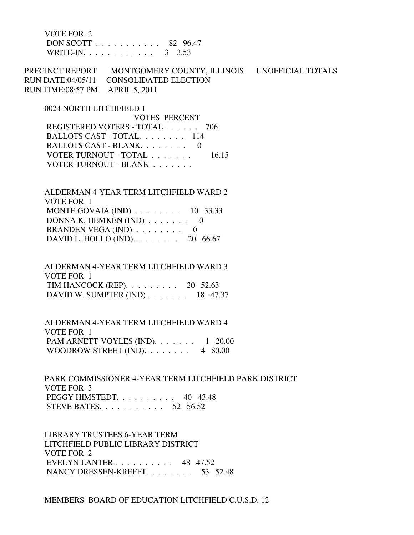VOTE FOR 2 DON SCOTT . . . . . . . . . . . 82 96.47 WRITE-IN. . . . . . . . . . . . . 3 3.53

PRECINCT REPORT MONTGOMERY COUNTY, ILLINOIS UNOFFICIAL TOTALS RUN DATE:04/05/11 CONSOLIDATED ELECTION RUN TIME:08:57 PM APRIL 5, 2011

 0024 NORTH LITCHFIELD 1 VOTES PERCENT REGISTERED VOTERS - TOTAL . . . . . . 706 BALLOTS CAST - TOTAL. . . . . . . . 114 BALLOTS CAST - BLANK. . . . . . . . 0 VOTER TURNOUT - TOTAL . . . . . . . 16.15 VOTER TURNOUT - BLANK . . . . . . .

 ALDERMAN 4-YEAR TERM LITCHFIELD WARD 2 VOTE FOR 1 MONTE GOVAIA (IND) . . . . . . . . 10 33.33 DONNA K. HEMKEN (IND)  $\ldots$  . . . . . 0 BRANDEN VEGA (IND)  $\ldots \ldots \ldots$  0 DAVID L. HOLLO (IND). . . . . . . . 20 66.67

 ALDERMAN 4-YEAR TERM LITCHFIELD WARD 3 VOTE FOR 1 TIM HANCOCK (REP). . . . . . . . . 20 52.63 DAVID W. SUMPTER (IND) . . . . . . . 18 47.37

 ALDERMAN 4-YEAR TERM LITCHFIELD WARD 4 VOTE FOR 1 PAM ARNETT-VOYLES (IND). . . . . . . 1 20.00 WOODROW STREET (IND).  $\ldots \ldots \ldots$  4 80.00

 PARK COMMISSIONER 4-YEAR TERM LITCHFIELD PARK DISTRICT VOTE FOR 3 PEGGY HIMSTEDT. . . . . . . . . . 40 43.48 STEVE BATES. . . . . . . . . . . 52 56.52

 LIBRARY TRUSTEES 6-YEAR TERM LITCHFIELD PUBLIC LIBRARY DISTRICT VOTE FOR 2 EVELYN LANTER . . . . . . . . . . 48 47.52 NANCY DRESSEN-KREFFT. . . . . . . . 53 52.48

MEMBERS BOARD OF EDUCATION LITCHFIELD C.U.S.D. 12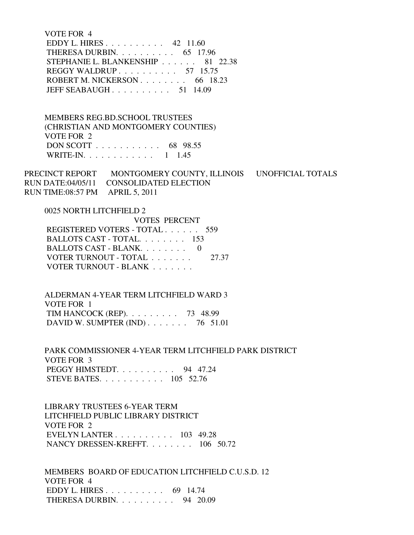VOTE FOR 4 EDDY L. HIRES . . . . . . . . . . 42 11.60 THERESA DURBIN. . . . . . . . . . 65 17.96 STEPHANIE L. BLANKENSHIP . . . . . . 81 22.38 REGGY WALDRUP . . . . . . . . . . 57 15.75 ROBERT M. NICKERSON . . . . . . . . . 66 18.23 JEFF SEABAUGH . . . . . . . . . . 51 14.09

 MEMBERS REG.BD.SCHOOL TRUSTEES (CHRISTIAN AND MONTGOMERY COUNTIES) VOTE FOR 2 DON SCOTT . . . . . . . . . . . 68 98.55 WRITE-IN. . . . . . . . . . . . 1 1.45

PRECINCT REPORT MONTGOMERY COUNTY, ILLINOIS UNOFFICIAL TOTALS RUN DATE:04/05/11 CONSOLIDATED ELECTION RUN TIME:08:57 PM APRIL 5, 2011

 0025 NORTH LITCHFIELD 2 VOTES PERCENT REGISTERED VOTERS - TOTAL . . . . . . 559 BALLOTS CAST - TOTAL. . . . . . . . 153 BALLOTS CAST - BLANK. . . . . . . . 0

VOTER TURNOUT - TOTAL . . . . . . . 27.37 VOTER TURNOUT - BLANK . . . . . . .

 ALDERMAN 4-YEAR TERM LITCHFIELD WARD 3 VOTE FOR 1 TIM HANCOCK (REP). . . . . . . . . 73 48.99 DAVID W. SUMPTER (IND) . . . . . . . 76 51.01

 PARK COMMISSIONER 4-YEAR TERM LITCHFIELD PARK DISTRICT VOTE FOR 3 PEGGY HIMSTEDT. . . . . . . . . . . . . . . . 94 47.24 STEVE BATES. . . . . . . . . . . 105 52.76

 LIBRARY TRUSTEES 6-YEAR TERM LITCHFIELD PUBLIC LIBRARY DISTRICT VOTE FOR 2 EVELYN LANTER . . . . . . . . . . 103 49.28 NANCY DRESSEN-KREFFT. . . . . . . . 106 50.72

 MEMBERS BOARD OF EDUCATION LITCHFIELD C.U.S.D. 12 VOTE FOR 4 EDDY L. HIRES . . . . . . . . . . 69 14.74 THERESA DURBIN. . . . . . . . . . 94 20.09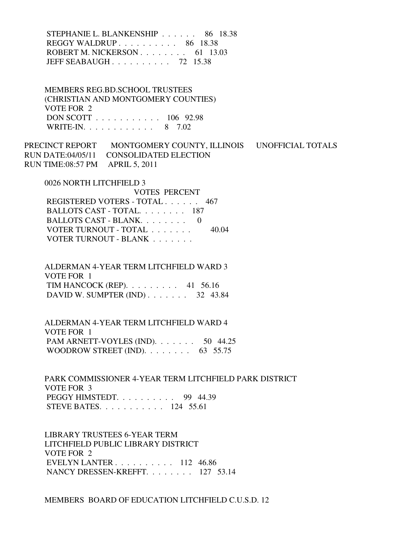STEPHANIE L. BLANKENSHIP . . . . . . 86 18.38 REGGY WALDRUP . . . . . . . . . . 86 18.38 ROBERT M. NICKERSON . . . . . . . . 61 13.03 JEFF SEABAUGH . . . . . . . . . . 72 15.38

 MEMBERS REG.BD.SCHOOL TRUSTEES (CHRISTIAN AND MONTGOMERY COUNTIES) VOTE FOR 2 DON SCOTT . . . . . . . . . . . 106 92.98 WRITE-IN. . . . . . . . . . . . 8 7.02

PRECINCT REPORT MONTGOMERY COUNTY, ILLINOIS UNOFFICIAL TOTALS RUN DATE:04/05/11 CONSOLIDATED ELECTION RUN TIME:08:57 PM APRIL 5, 2011

0026 NORTH LITCHFIELD 3

 VOTES PERCENT REGISTERED VOTERS - TOTAL . . . . . . 467 BALLOTS CAST - TOTAL. . . . . . . . 187 BALLOTS CAST - BLANK. . . . . . . . 0 VOTER TURNOUT - TOTAL . . . . . . . 40.04 VOTER TURNOUT - BLANK

 ALDERMAN 4-YEAR TERM LITCHFIELD WARD 3 VOTE FOR 1 TIM HANCOCK (REP). . . . . . . . . 41 56.16 DAVID W. SUMPTER (IND) . . . . . . . 32 43.84

 ALDERMAN 4-YEAR TERM LITCHFIELD WARD 4 VOTE FOR 1 PAM ARNETT-VOYLES (IND). . . . . . . 50 44.25 WOODROW STREET (IND).  $\ldots$  . . . . . . 63 55.75

 PARK COMMISSIONER 4-YEAR TERM LITCHFIELD PARK DISTRICT VOTE FOR 3 PEGGY HIMSTEDT. . . . . . . . . . 99 44.39 STEVE BATES. . . . . . . . . . . 124 55.61

 LIBRARY TRUSTEES 6-YEAR TERM LITCHFIELD PUBLIC LIBRARY DISTRICT VOTE FOR 2 EVELYN LANTER . . . . . . . . . . 112 46.86 NANCY DRESSEN-KREFFT. . . . . . . . 127 53.14

MEMBERS BOARD OF EDUCATION LITCHFIELD C.U.S.D. 12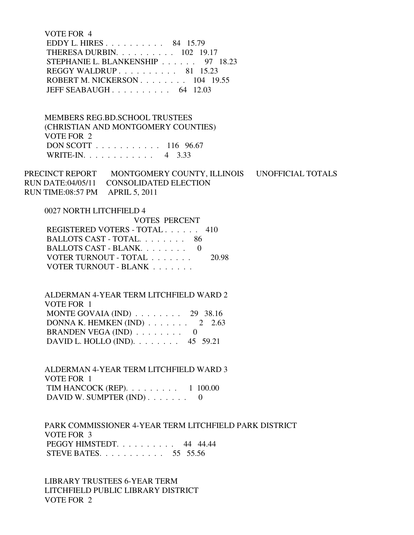VOTE FOR 4 EDDY L. HIRES . . . . . . . . . . 84 15.79 THERESA DURBIN. . . . . . . . . . 102 19.17 STEPHANIE L. BLANKENSHIP . . . . . . 97 18.23 REGGY WALDRUP . . . . . . . . . . 81 15.23 ROBERT M. NICKERSON . . . . . . . . 104 19.55 JEFF SEABAUGH . . . . . . . . . . 64 12.03

 MEMBERS REG.BD.SCHOOL TRUSTEES (CHRISTIAN AND MONTGOMERY COUNTIES) VOTE FOR 2 DON SCOTT . . . . . . . . . . . 116 96.67 WRITE-IN. . . . . . . . . . . . 4 3.33

PRECINCT REPORT MONTGOMERY COUNTY, ILLINOIS UNOFFICIAL TOTALS RUN DATE:04/05/11 CONSOLIDATED ELECTION RUN TIME:08:57 PM APRIL 5, 2011

0027 NORTH LITCHFIELD 4

| <b>VOTES PERCENT</b>          |       |
|-------------------------------|-------|
| REGISTERED VOTERS - TOTAL 410 |       |
| BALLOTS CAST - TOTAL 86       |       |
| BALLOTS CAST - BLANK. 0       |       |
| VOTER TURNOUT - TOTAL         | 20.98 |
| VOTER TURNOUT - BLANK         |       |

 ALDERMAN 4-YEAR TERM LITCHFIELD WARD 2 VOTE FOR 1 MONTE GOVAIA (IND) . . . . . . . . 29 38.16 DONNA K. HEMKEN (IND)  $\ldots \ldots \ldots$  2 2.63 BRANDEN VEGA (IND) . . . . . . . . 0 DAVID L. HOLLO (IND). . . . . . . . 45 59.21

 ALDERMAN 4-YEAR TERM LITCHFIELD WARD 3 VOTE FOR 1 TIM HANCOCK (REP). . . . . . . . . 1 100.00 DAVID W. SUMPTER  $(IND)$ ....... 0

 PARK COMMISSIONER 4-YEAR TERM LITCHFIELD PARK DISTRICT VOTE FOR 3 PEGGY HIMSTEDT. . . . . . . . . . 44 44.44 STEVE BATES. . . . . . . . . . . 55 55.56

 LIBRARY TRUSTEES 6-YEAR TERM LITCHFIELD PUBLIC LIBRARY DISTRICT VOTE FOR 2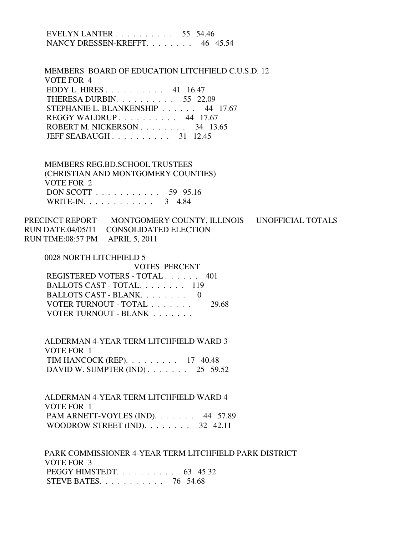| EVELYN LANTER $\ldots$ 55 54.46<br>NANCY DRESSEN-KREFFT. 46 45.54                                                                                                                                                                                         |
|-----------------------------------------------------------------------------------------------------------------------------------------------------------------------------------------------------------------------------------------------------------|
| MEMBERS BOARD OF EDUCATION LITCHFIELD C.U.S.D. 12<br>VOTE FOR 4<br>EDDY L. HIRES 41 16.47<br>THERESA DURBIN. $\ldots$ 55 22.09<br>STEPHANIE L. BLANKENSHIP 44 17.67<br>REGGY WALDRUP 44 17.67<br>ROBERT M. NICKERSON 34 13.65<br>JEFF SEABAUGH $31$ 12.45 |
| <b>MEMBERS REG.BD.SCHOOL TRUSTEES</b><br>(CHRISTIAN AND MONTGOMERY COUNTIES)<br>VOTE FOR 2<br>DON SCOTT 59 95.16<br>WRITE-IN. 3 4.84                                                                                                                      |
| PRECINCT REPORT MONTGOMERY COUNTY, ILLINOIS UNOFFICIAL TOTALS<br>RUN DATE:04/05/11 CONSOLIDATED ELECTION<br>RUN TIME:08:57 PM APRIL 5, 2011                                                                                                               |
| 0028 NORTH LITCHFIELD 5<br><b>VOTES PERCENT</b><br>REGISTERED VOTERS - TOTAL 401<br>BALLOTS CAST - TOTAL. 119<br>BALLOTS CAST - BLANK. 0<br>VOTER TURNOUT - TOTAL<br>29.68<br>VOTER TURNOUT - BLANK                                                       |
| ALDERMAN 4-YEAR TERM LITCHFIELD WARD 3<br>VOTE FOR 1<br>TIM HANCOCK (REP). $\ldots$ 17 40.48<br>DAVID W. SUMPTER (IND) $\ldots$ 25 59.52                                                                                                                  |
| ALDERMAN 4-YEAR TERM LITCHFIELD WARD 4<br>VOTE FOR 1<br>PAM ARNETT-VOYLES (IND). $\ldots$ 44 57.89<br>WOODROW STREET (IND). $\ldots \ldots \ldots$ 32 42.11                                                                                               |
| PARK COMMISSIONER 4-YEAR TERM LITCHFIELD PARK DISTRICT<br>VOTE FOR 3<br>PEGGY HIMSTEDT. $\ldots$ 63 45.32<br>STEVE BATES. $\ldots$ 76 54.68                                                                                                               |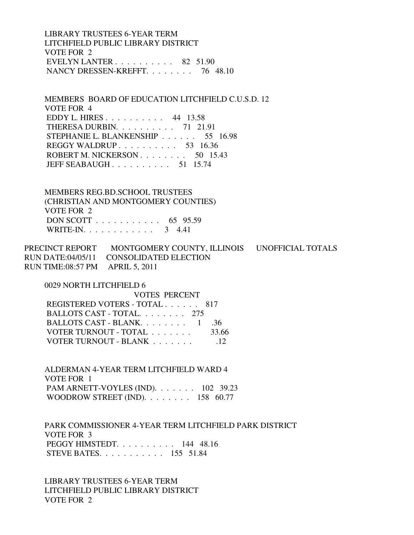LIBRARY TRUSTEES 6-YEAR TERM LITCHFIELD PUBLIC LIBRARY DISTRICT VOTE FOR 2 EVELYN LANTER . . . . . . . . . . 82 51.90 NANCY DRESSEN-KREFFT. . . . . . . . 76 48.10

 MEMBERS BOARD OF EDUCATION LITCHFIELD C.U.S.D. 12 VOTE FOR 4 EDDY L. HIRES . . . . . . . . . . 44 13.58 THERESA DURBIN. . . . . . . . . . 71 21.91 STEPHANIE L. BLANKENSHIP . . . . . . 55 16.98 REGGY WALDRUP . . . . . . . . . . 53 16.36 ROBERT M. NICKERSON . . . . . . . . 50 15.43 JEFF SEABAUGH . . . . . . . . . . 51 15.74

 MEMBERS REG.BD.SCHOOL TRUSTEES (CHRISTIAN AND MONTGOMERY COUNTIES) VOTE FOR 2 DON SCOTT . . . . . . . . . . . 65 95.59 WRITE-IN. . . . . . . . . . . . 3 4.41

PRECINCT REPORT MONTGOMERY COUNTY, ILLINOIS UNOFFICIAL TOTALS RUN DATE:04/05/11 CONSOLIDATED ELECTION RUN TIME:08:57 PM APRIL 5, 2011

 0029 NORTH LITCHFIELD 6 VOTES PERCENT REGISTERED VOTERS - TOTAL . . . . . . 817 BALLOTS CAST - TOTAL. . . . . . . . 275 BALLOTS CAST - BLANK. . . . . . . . . 1 . . 36 VOTER TURNOUT - TOTAL . . . . . . . 33.66 VOTER TURNOUT - BLANK . . . . . . . . . . 12

 ALDERMAN 4-YEAR TERM LITCHFIELD WARD 4 VOTE FOR 1 PAM ARNETT-VOYLES (IND). . . . . . . 102 39.23 WOODROW STREET (IND). . . . . . . . 158 60.77

 PARK COMMISSIONER 4-YEAR TERM LITCHFIELD PARK DISTRICT VOTE FOR 3 PEGGY HIMSTEDT. . . . . . . . . . 144 48.16 STEVE BATES. . . . . . . . . . . 155 51.84

 LIBRARY TRUSTEES 6-YEAR TERM LITCHFIELD PUBLIC LIBRARY DISTRICT VOTE FOR 2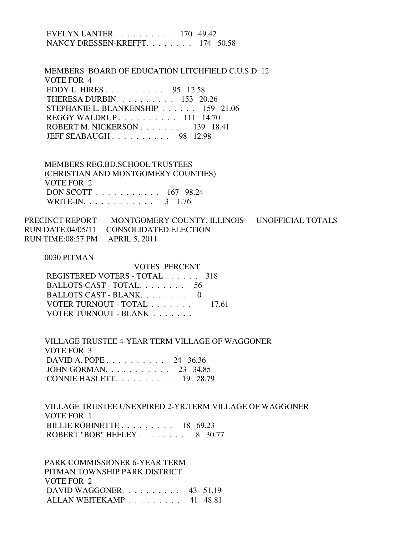| EVELYN LANTER $\ldots$ 170 49.42<br>NANCY DRESSEN-KREFFT. 174 50.58                                                                                                                                                                                |  |
|----------------------------------------------------------------------------------------------------------------------------------------------------------------------------------------------------------------------------------------------------|--|
| MEMBERS BOARD OF EDUCATION LITCHFIELD C.U.S.D. 12<br>VOTE FOR 4<br>EDDY L. HIRES 95 12.58<br>THERESA DURBIN. 153 20.26<br>STEPHANIE L. BLANKENSHIP 159 21.06<br>REGGY WALDRUP 111 14.70<br>ROBERT M. NICKERSON 139 18.41<br>JEFF SEABAUGH 98 12.98 |  |
| <b>MEMBERS REG.BD.SCHOOL TRUSTEES</b><br>(CHRISTIAN AND MONTGOMERY COUNTIES)<br><b>VOTE FOR 2</b><br>DON SCOTT 167 98.24<br>WRITE-IN. 3 1.76                                                                                                       |  |
| PRECINCT REPORT MONTGOMERY COUNTY, ILLINOIS UNOFFICIAL TOTALS<br>RUN DATE:04/05/11 CONSOLIDATED ELECTION<br>RUN TIME:08:57 PM APRIL 5, 2011                                                                                                        |  |
| 0030 PITMAN<br><b>VOTES PERCENT</b><br>REGISTERED VOTERS - TOTAL 318<br>BALLOTS CAST - TOTAL. 56<br>BALLOTS CAST - BLANK.<br>$\Omega$<br>VOTER TURNOUT - TOTAL<br>17.61<br>VOTER TURNOUT - BLANK                                                   |  |
| VILLAGE TRUSTEE 4-YEAR TERM VILLAGE OF WAGGONER<br>VOTE FOR 3<br>DAVID A. POPE 24 36.36<br>JOHN GORMAN. 23 34.85<br>CONNIE HASLETT. $\ldots$ 19 28.79                                                                                              |  |

 VILLAGE TRUSTEE UNEXPIRED 2-YR.TERM VILLAGE OF WAGGONER VOTE FOR 1 BILLIE ROBINETTE . . . . . . . . . 18 69.23 ROBERT "BOB" HEFLEY . . . . . . . . 8 30.77

 PARK COMMISSIONER 6-YEAR TERM PITMAN TOWNSHIP PARK DISTRICT VOTE FOR 2 DAVID WAGGONER. . . . . . . . . . 43 51.19 ALLAN WEITEKAMP . . . . . . . . . 41 48.81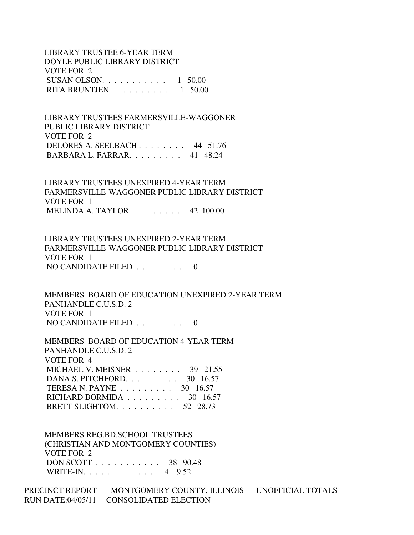LIBRARY TRUSTEE 6-YEAR TERM DOYLE PUBLIC LIBRARY DISTRICT VOTE FOR 2 SUSAN OLSON.  $\ldots$  . . . . . . . . 1 50.00 RITA BRUNTJEN . . . . . . . . . . 1 50.00

 LIBRARY TRUSTEES FARMERSVILLE-WAGGONER PUBLIC LIBRARY DISTRICT VOTE FOR 2 DELORES A. SEELBACH . . . . . . . . 44 51.76 BARBARA L. FARRAR. . . . . . . . . 41 48.24

 LIBRARY TRUSTEES UNEXPIRED 4-YEAR TERM FARMERSVILLE-WAGGONER PUBLIC LIBRARY DISTRICT VOTE FOR 1 MELINDA A. TAYLOR. . . . . . . . . 42 100.00

 LIBRARY TRUSTEES UNEXPIRED 2-YEAR TERM FARMERSVILLE-WAGGONER PUBLIC LIBRARY DISTRICT VOTE FOR 1 NO CANDIDATE FILED . . . . . . . . 0

 MEMBERS BOARD OF EDUCATION UNEXPIRED 2-YEAR TERM PANHANDLE C.U.S.D. 2 VOTE FOR 1 NO CANDIDATE FILED  $\ldots$ , . . . . . 0

 MEMBERS BOARD OF EDUCATION 4-YEAR TERM PANHANDLE C.U.S.D. 2 VOTE FOR 4 MICHAEL V. MEISNER . . . . . . . . 39 21.55 DANA S. PITCHFORD. . . . . . . . . 30 16.57 TERESA N. PAYNE . . . . . . . . . 30 16.57 RICHARD BORMIDA . . . . . . . . . . 30 16.57 BRETT SLIGHTOM. . . . . . . . . . 52 28.73

 MEMBERS REG.BD.SCHOOL TRUSTEES (CHRISTIAN AND MONTGOMERY COUNTIES) VOTE FOR 2 DON SCOTT . . . . . . . . . . . 38 90.48 WRITE-IN. . . . . . . . . . . . 4 9.52

PRECINCT REPORT MONTGOMERY COUNTY, ILLINOIS UNOFFICIAL TOTALS RUN DATE:04/05/11 CONSOLIDATED ELECTION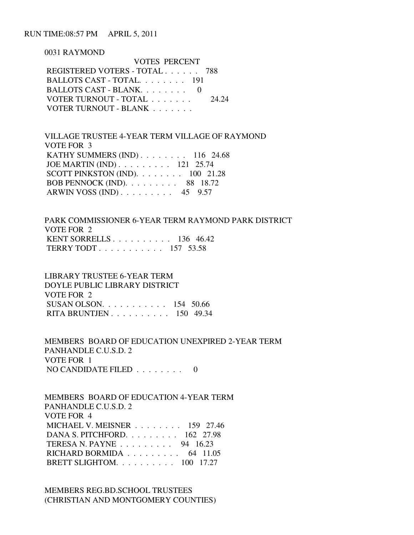RUN TIME:08:57 PM APRIL 5, 2011

0031 RAYMOND

| <b>VOTES PERCENT</b>          |       |
|-------------------------------|-------|
| REGISTERED VOTERS - TOTAL 788 |       |
| BALLOTS CAST - TOTAL 191      |       |
| BALLOTS CAST - BLANK $0$      |       |
| VOTER TURNOUT - TOTAL         | 24 24 |
| VOTER TURNOUT - BLANK         |       |

 VILLAGE TRUSTEE 4-YEAR TERM VILLAGE OF RAYMOND VOTE FOR 3 KATHY SUMMERS (IND) . . . . . . . . 116 24.68 JOE MARTIN (IND) . . . . . . . . . 121 25.74 SCOTT PINKSTON (IND). . . . . . . . 100 21.28 BOB PENNOCK (IND). . . . . . . . . 88 18.72 ARWIN VOSS (IND) . . . . . . . . . 45 9.57

 PARK COMMISSIONER 6-YEAR TERM RAYMOND PARK DISTRICT VOTE FOR 2 KENT SORRELLS . . . . . . . . . . 136 46.42 TERRY TODT . . . . . . . . . . . 157 53.58

 LIBRARY TRUSTEE 6-YEAR TERM DOYLE PUBLIC LIBRARY DISTRICT VOTE FOR 2 SUSAN OLSON. . . . . . . . . . . 154 50.66 RITA BRUNTJEN . . . . . . . . . . 150 49.34

 MEMBERS BOARD OF EDUCATION UNEXPIRED 2-YEAR TERM PANHANDLE C.U.S.D. 2 VOTE FOR 1 NO CANDIDATE FILED  $\ldots$ , . . . . . 0

 MEMBERS BOARD OF EDUCATION 4-YEAR TERM PANHANDLE C.U.S.D. 2 VOTE FOR 4 MICHAEL V. MEISNER . . . . . . . . 159 27.46 DANA S. PITCHFORD. . . . . . . . . 162 27.98 TERESA N. PAYNE . . . . . . . . . 94 16.23 RICHARD BORMIDA . . . . . . . . . 64 11.05 BRETT SLIGHTOM. . . . . . . . . . 100 17.27

 MEMBERS REG.BD.SCHOOL TRUSTEES (CHRISTIAN AND MONTGOMERY COUNTIES)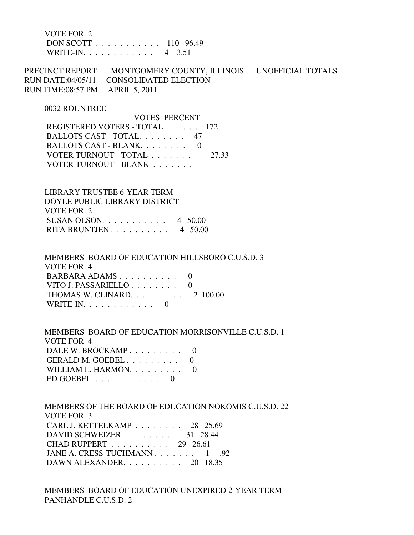VOTE FOR 2 DON SCOTT . . . . . . . . . . . 110 96.49 WRITE-IN. . . . . . . . . . . . 4 3.51

PRECINCT REPORT MONTGOMERY COUNTY, ILLINOIS UNOFFICIAL TOTALS RUN DATE:04/05/11 CONSOLIDATED ELECTION RUN TIME:08:57 PM APRIL 5, 2011

#### 0032 ROUNTREE

 VOTES PERCENT REGISTERED VOTERS - TOTAL . . . . . . 172 BALLOTS CAST - TOTAL. . . . . . . . 47 BALLOTS CAST - BLANK. . . . . . . . 0 VOTER TURNOUT - TOTAL . . . . . . . 27.33 VOTER TURNOUT - BLANK . . . . . . .

 LIBRARY TRUSTEE 6-YEAR TERM DOYLE PUBLIC LIBRARY DISTRICT VOTE FOR 2 SUSAN OLSON.  $\ldots$  . . . . . . . . 4 50.00 RITA BRUNTJEN . . . . . . . . . . 4 50.00

 MEMBERS BOARD OF EDUCATION HILLSBORO C.U.S.D. 3 VOTE FOR 4 BARBARA ADAMS . . . . . . . . . . 0 VITO J. PASSARIELLO . . . . . . . . 0 THOMAS W. CLINARD. . . . . . . . . 2 100.00 WRITE-IN.  $\ldots$  . . . . . . . . 0

 MEMBERS BOARD OF EDUCATION MORRISONVILLE C.U.S.D. 1 VOTE FOR 4 DALE W. BROCKAMP . . . . . . . . . 0 GERALD M. GOEBEL . . . . . . . . . 0 WILLIAM L. HARMON. . . . . . . . . 0 ED GOEBEL  $\ldots \ldots \ldots \ldots 0$ 

 MEMBERS OF THE BOARD OF EDUCATION NOKOMIS C.U.S.D. 22 VOTE FOR 3 CARL J. KETTELKAMP . . . . . . . . 28 25.69 DAVID SCHWEIZER . . . . . . . . . 31 28.44 CHAD RUPPERT . . . . . . . . . . 29 26.61 JANE A. CRESS-TUCHMANN . . . . . . . 1 .92 DAWN ALEXANDER. . . . . . . . . . 20 18.35

 MEMBERS BOARD OF EDUCATION UNEXPIRED 2-YEAR TERM PANHANDLE C.U.S.D. 2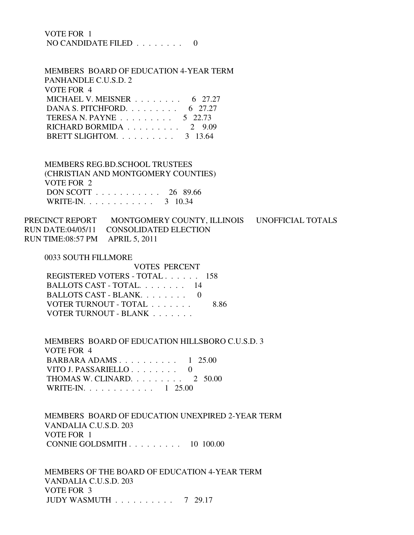| VOTE FOR 1                         |  |  |  |  |  |
|------------------------------------|--|--|--|--|--|
| NO CANDIDATE FILED $\ldots \ldots$ |  |  |  |  |  |

 MEMBERS BOARD OF EDUCATION 4-YEAR TERM PANHANDLE C.U.S.D. 2 VOTE FOR 4 MICHAEL V. MEISNER . . . . . . . . 6 27.27 DANA S. PITCHFORD. . . . . . . . . . 6 27.27 TERESA N. PAYNE . . . . . . . . . 5 22.73 RICHARD BORMIDA . . . . . . . . . 2 9.09 BRETT SLIGHTOM. . . . . . . . . . 3 13.64

 MEMBERS REG.BD.SCHOOL TRUSTEES (CHRISTIAN AND MONTGOMERY COUNTIES) VOTE FOR 2 DON SCOTT . . . . . . . . . . . 26 89.66 WRITE-IN. . . . . . . . . . . . 3 10.34

PRECINCT REPORT MONTGOMERY COUNTY, ILLINOIS UNOFFICIAL TOTALS RUN DATE:04/05/11 CONSOLIDATED ELECTION RUN TIME:08:57 PM APRIL 5, 2011

0033 SOUTH FILLMORE

| ,,,,,,,,,,,,,,,,,,,,,,,,,,,,,,, |      |
|---------------------------------|------|
| <b>VOTES PERCENT</b>            |      |
| REGISTERED VOTERS - TOTAL 158   |      |
| BALLOTS CAST - TOTAL. 14        |      |
| BALLOTS CAST - BLANK. 0         |      |
| VOTER TURNOUT - TOTAL           | 8.86 |
| VOTER TURNOUT - BLANK           |      |
|                                 |      |

 MEMBERS BOARD OF EDUCATION HILLSBORO C.U.S.D. 3 VOTE FOR 4 BARBARA ADAMS . . . . . . . . . . 1 25.00 VITO J. PASSARIELLO . . . . . . . . 0 THOMAS W. CLINARD. . . . . . . . . 2 50.00 WRITE-IN. . . . . . . . . . . . . 1 25.00

 MEMBERS BOARD OF EDUCATION UNEXPIRED 2-YEAR TERM VANDALIA C.U.S.D. 203 VOTE FOR 1 CONNIE GOLDSMITH . . . . . . . . . 10 100.00

 MEMBERS OF THE BOARD OF EDUCATION 4-YEAR TERM VANDALIA C.U.S.D. 203 VOTE FOR 3 JUDY WASMUTH . . . . . . . . . . 7 29.17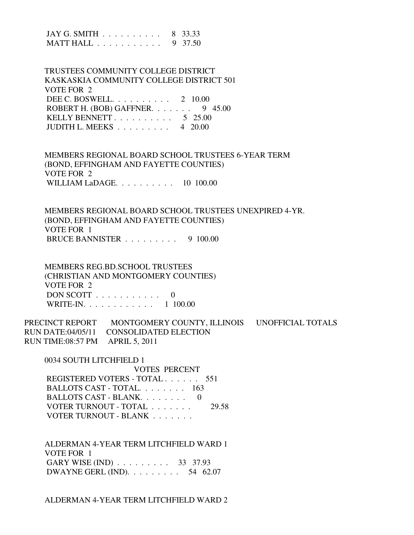| JAY G. SMITH 8 33.33<br>MATT HALL 9 37.50                                                                                                                                                                                                                            |
|----------------------------------------------------------------------------------------------------------------------------------------------------------------------------------------------------------------------------------------------------------------------|
| TRUSTEES COMMUNITY COLLEGE DISTRICT<br>KASKASKIA COMMUNITY COLLEGE DISTRICT 501<br><b>VOTE FOR 2</b><br>DEE C. BOSWELL. $\ldots$ 2 10.00<br>ROBERT H. (BOB) GAFFNER.<br>9 45.00<br>KELLY BENNETT. $\ldots$ 5 25.00<br>JUDITH L. MEEKS $\ldots \ldots \ldots$ 4 20.00 |
| MEMBERS REGIONAL BOARD SCHOOL TRUSTEES 6-YEAR TERM<br>(BOND, EFFINGHAM AND FAYETTE COUNTIES)<br><b>VOTE FOR 2</b><br>WILLIAM LaDAGE. 10 100.00                                                                                                                       |
| MEMBERS REGIONAL BOARD SCHOOL TRUSTEES UNEXPIRED 4-YR.<br>(BOND, EFFINGHAM AND FAYETTE COUNTIES)<br>VOTE FOR 1<br>BRUCE BANNISTER 9 100.00                                                                                                                           |
| <b>MEMBERS REG.BD.SCHOOL TRUSTEES</b><br>(CHRISTIAN AND MONTGOMERY COUNTIES)<br><b>VOTE FOR 2</b><br>DON SCOTT $\ldots \ldots \ldots \ldots 0$<br>WRITE-IN. 1 100.00                                                                                                 |
| PRECINCT REPORT MONTGOMERY COUNTY, ILLINOIS UNOFFICIAL TOTALS<br><b>RUN DATE:04/05/11</b><br><b>CONSOLIDATED ELECTION</b><br><b>APRIL 5, 2011</b><br>RUN TIME:08:57 PM                                                                                               |
| 0034 SOUTH LITCHFIELD 1<br><b>VOTES PERCENT</b><br>REGISTERED VOTERS - TOTAL 551<br>BALLOTS CAST - TOTAL. 163<br>BALLOTS CAST - BLANK. 0<br>VOTER TURNOUT - TOTAL<br>29.58<br>VOTER TURNOUT - BLANK                                                                  |
| ALDERMAN 4-YEAR TERM LITCHFIELD WARD 1<br>VOTE FOR 1<br>GARY WISE (IND) 33 37.93<br>DWAYNE GERL (IND). $\ldots \ldots \ldots$ 54 62.07                                                                                                                               |

ALDERMAN 4-YEAR TERM LITCHFIELD WARD 2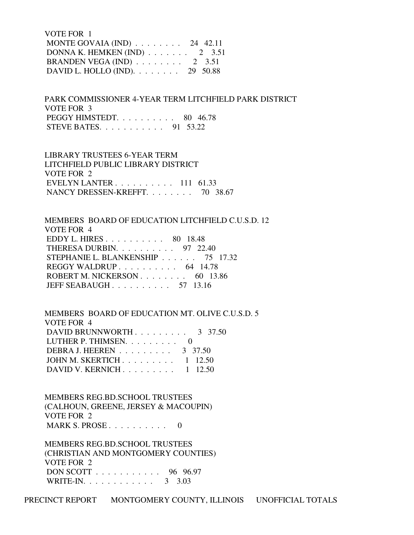VOTE FOR 1 MONTE GOVAIA (IND) . . . . . . . . 24 42.11 DONNA K. HEMKEN (IND) . . . . . . . 2 3.51 BRANDEN VEGA (IND) . . . . . . . . 2 3.51 DAVID L. HOLLO (IND). . . . . . . . 29 50.88

 PARK COMMISSIONER 4-YEAR TERM LITCHFIELD PARK DISTRICT VOTE FOR 3 PEGGY HIMSTEDT. . . . . . . . . . 80 46.78 STEVE BATES. . . . . . . . . . . 91 53.22

 LIBRARY TRUSTEES 6-YEAR TERM LITCHFIELD PUBLIC LIBRARY DISTRICT VOTE FOR 2 EVELYN LANTER . . . . . . . . . . 111 61.33 NANCY DRESSEN-KREFFT. . . . . . . . 70 38.67

 MEMBERS BOARD OF EDUCATION LITCHFIELD C.U.S.D. 12 VOTE FOR 4 EDDY L. HIRES . . . . . . . . . . 80 18.48 THERESA DURBIN. . . . . . . . . . 97 22.40 STEPHANIE L. BLANKENSHIP . . . . . . 75 17.32 REGGY WALDRUP . . . . . . . . . . . 64 14.78 ROBERT M. NICKERSON . . . . . . . . 60 13.86 JEFF SEABAUGH . . . . . . . . . . 57 13.16

 MEMBERS BOARD OF EDUCATION MT. OLIVE C.U.S.D. 5 VOTE FOR 4 DAVID BRUNNWORTH . . . . . . . . . 3 37.50 LUTHER P. THIMSEN. . . . . . . . . 0 DEBRA J. HEEREN . . . . . . . . . 3 37.50 JOHN M. SKERTICH . . . . . . . . . 1 12.50 DAVID V. KERNICH . . . . . . . . . . 1 12.50

 MEMBERS REG.BD.SCHOOL TRUSTEES (CALHOUN, GREENE, JERSEY & MACOUPIN) VOTE FOR 2 MARK S. PROSE . . . . . . . . . . 0

 MEMBERS REG.BD.SCHOOL TRUSTEES (CHRISTIAN AND MONTGOMERY COUNTIES) VOTE FOR 2 DON SCOTT . . . . . . . . . . . 96 96.97 WRITE-IN. . . . . . . . . . . . . 3 3.03

PRECINCT REPORT MONTGOMERY COUNTY, ILLINOIS UNOFFICIAL TOTALS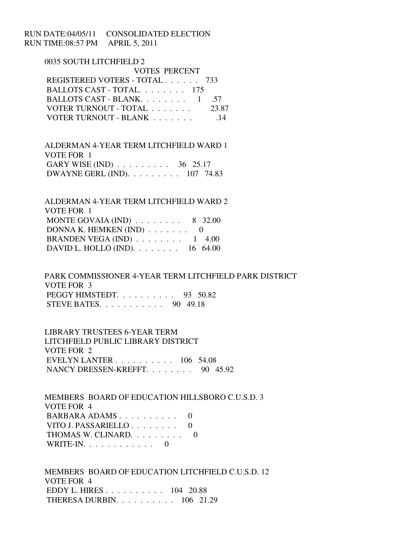# RUN DATE:04/05/11 CONSOLIDATED ELECTION RUN TIME:08:57 PM APRIL 5, 2011

## 0035 SOUTH LITCHFIELD 2

| <b>VOTES PERCENT</b>                               |                 |  |  |  |
|----------------------------------------------------|-----------------|--|--|--|
| REGISTERED VOTERS - TOTAL 733                      |                 |  |  |  |
| BALLOTS CAST - TOTAL 175                           |                 |  |  |  |
| BALLOTS CAST - BLANK. $\ldots \ldots \ldots 1$ .57 |                 |  |  |  |
| VOTER TURNOUT - TOTAL                              | 23.87           |  |  |  |
| VOTER TURNOUT - BLANK                              | $\overline{14}$ |  |  |  |

 ALDERMAN 4-YEAR TERM LITCHFIELD WARD 1 VOTE FOR 1 GARY WISE (IND) . . . . . . . . . 36 25.17 DWAYNE GERL (IND). . . . . . . . . 107 74.83

 ALDERMAN 4-YEAR TERM LITCHFIELD WARD 2 VOTE FOR 1 MONTE GOVAIA (IND)  $\ldots \ldots \ldots$  8 32.00 DONNA K. HEMKEN (IND)  $\ldots \ldots$  0 BRANDEN VEGA (IND)  $\ldots \ldots \ldots 1$  4.00 DAVID L. HOLLO (IND). . . . . . . . 16 64.00

 PARK COMMISSIONER 4-YEAR TERM LITCHFIELD PARK DISTRICT VOTE FOR 3 PEGGY HIMSTEDT. . . . . . . . . . 93 50.82 STEVE BATES. . . . . . . . . . . 90 49.18

 LIBRARY TRUSTEES 6-YEAR TERM LITCHFIELD PUBLIC LIBRARY DISTRICT VOTE FOR 2 EVELYN LANTER . . . . . . . . . . 106 54.08 NANCY DRESSEN-KREFFT. . . . . . . . 90 45.92

 MEMBERS BOARD OF EDUCATION HILLSBORO C.U.S.D. 3 VOTE FOR 4 BARBARA ADAMS . . . . . . . . . . 0 VITO J. PASSARIELLO . . . . . . . . 0 THOMAS W. CLINARD. . . . . . . . . 0 WRITE-IN.  $\ldots$  . . . . . . . . 0

 MEMBERS BOARD OF EDUCATION LITCHFIELD C.U.S.D. 12 VOTE FOR 4 EDDY L. HIRES . . . . . . . . . . 104 20.88 THERESA DURBIN. . . . . . . . . . 106 21.29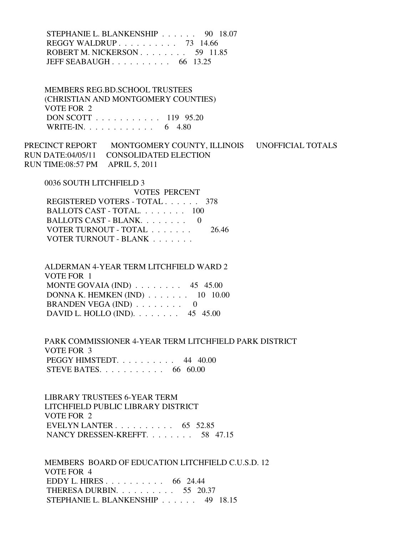STEPHANIE L. BLANKENSHIP . . . . . . 90 18.07 REGGY WALDRUP . . . . . . . . . . 73 14.66 ROBERT M. NICKERSON . . . . . . . . . 59 11.85 JEFF SEABAUGH . . . . . . . . . . 66 13.25

 MEMBERS REG.BD.SCHOOL TRUSTEES (CHRISTIAN AND MONTGOMERY COUNTIES) VOTE FOR 2 DON SCOTT . . . . . . . . . . . 119 95.20 WRITE-IN. . . . . . . . . . . . 6 4.80

PRECINCT REPORT MONTGOMERY COUNTY, ILLINOIS UNOFFICIAL TOTALS RUN DATE:04/05/11 CONSOLIDATED ELECTION RUN TIME:08:57 PM APRIL 5, 2011

0036 SOUTH LITCHFIELD 3

 VOTES PERCENT REGISTERED VOTERS - TOTAL . . . . . . 378 BALLOTS CAST - TOTAL. . . . . . . . 100 BALLOTS CAST - BLANK. . . . . . . . 0 VOTER TURNOUT - TOTAL . . . . . . . 26.46 VOTER TURNOUT - BLANK . . . . . . .

 ALDERMAN 4-YEAR TERM LITCHFIELD WARD 2 VOTE FOR 1 MONTE GOVAIA (IND)  $\ldots \ldots \ldots$  45 45.00 DONNA K. HEMKEN (IND) . . . . . . . 10 10.00 BRANDEN VEGA (IND)  $\ldots \ldots \ldots$  0 DAVID L. HOLLO (IND). . . . . . . . 45 45.00

 PARK COMMISSIONER 4-YEAR TERM LITCHFIELD PARK DISTRICT VOTE FOR 3 PEGGY HIMSTEDT. . . . . . . . . . 44 40.00 STEVE BATES. . . . . . . . . . . 66 60.00

 LIBRARY TRUSTEES 6-YEAR TERM LITCHFIELD PUBLIC LIBRARY DISTRICT VOTE FOR 2 EVELYN LANTER  $\ldots$  . . . . . . . . 65 52.85 NANCY DRESSEN-KREFFT. . . . . . . . 58 47.15

 MEMBERS BOARD OF EDUCATION LITCHFIELD C.U.S.D. 12 VOTE FOR 4 EDDY L. HIRES . . . . . . . . . . 66 24.44 THERESA DURBIN. . . . . . . . . . 55 20.37 STEPHANIE L. BLANKENSHIP . . . . . . 49 18.15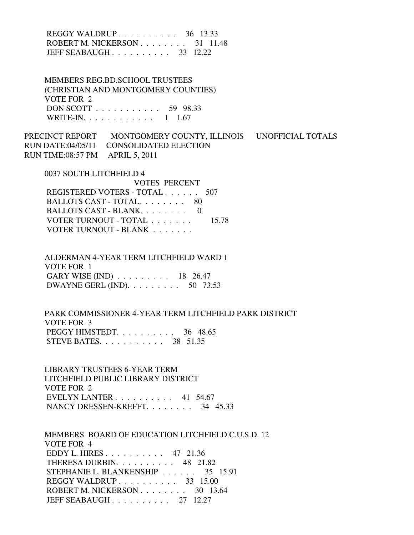# REGGY WALDRUP . . . . . . . . . . 36 13.33 ROBERT M. NICKERSON . . . . . . . . 31 11.48 JEFF SEABAUGH . . . . . . . . . . 33 12.22

 MEMBERS REG.BD.SCHOOL TRUSTEES (CHRISTIAN AND MONTGOMERY COUNTIES) VOTE FOR 2 DON SCOTT . . . . . . . . . . . 59 98.33 WRITE-IN. . . . . . . . . . . . 1 1.67

PRECINCT REPORT MONTGOMERY COUNTY, ILLINOIS UNOFFICIAL TOTALS RUN DATE:04/05/11 CONSOLIDATED ELECTION RUN TIME:08:57 PM APRIL 5, 2011

0037 SOUTH LITCHFIELD 4

| VOTES PERCENT                 |       |
|-------------------------------|-------|
| REGISTERED VOTERS - TOTAL 507 |       |
| BALLOTS CAST - TOTAL 80       |       |
| BALLOTS CAST - BLANK $0$      |       |
| VOTER TURNOUT - TOTAL         | 15.78 |
| VOTER TURNOUT - BLANK         |       |

 ALDERMAN 4-YEAR TERM LITCHFIELD WARD 1 VOTE FOR 1 GARY WISE (IND) . . . . . . . . . 18 26.47 DWAYNE GERL (IND). . . . . . . . . 50 73.53

 PARK COMMISSIONER 4-YEAR TERM LITCHFIELD PARK DISTRICT VOTE FOR 3 PEGGY HIMSTEDT. . . . . . . . . . 36 48.65 STEVE BATES. . . . . . . . . . . 38 51.35

 LIBRARY TRUSTEES 6-YEAR TERM LITCHFIELD PUBLIC LIBRARY DISTRICT VOTE FOR 2 EVELYN LANTER . . . . . . . . . . 41 54.67 NANCY DRESSEN-KREFFT. . . . . . . . 34 45.33

 MEMBERS BOARD OF EDUCATION LITCHFIELD C.U.S.D. 12 VOTE FOR 4 EDDY L. HIRES . . . . . . . . . . 47 21.36 THERESA DURBIN. . . . . . . . . . 48 21.82 STEPHANIE L. BLANKENSHIP . . . . . . 35 15.91 REGGY WALDRUP . . . . . . . . . . 33 15.00 ROBERT M. NICKERSON . . . . . . . . . 30 13.64 JEFF SEABAUGH . . . . . . . . . . 27 12.27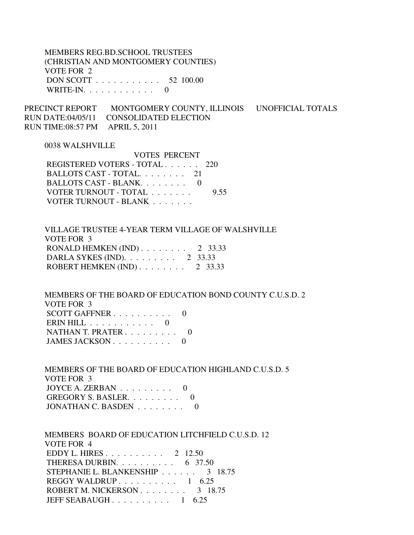MEMBERS REG.BD.SCHOOL TRUSTEES (CHRISTIAN AND MONTGOMERY COUNTIES) VOTE FOR 2 DON SCOTT . . . . . . . . . . . 52 100.00 WRITE-IN.  $\ldots$  . . . . . . . . 0

PRECINCT REPORT MONTGOMERY COUNTY, ILLINOIS UNOFFICIAL TOTALS RUN DATE:04/05/11 CONSOLIDATED ELECTION RUN TIME:08:57 PM APRIL 5, 2011

VOTES PERCENT

#### 0038 WALSHVILLE

| VOLES PERCENT                 |      |
|-------------------------------|------|
| REGISTERED VOTERS - TOTAL 220 |      |
| BALLOTS CAST - TOTAL 21       |      |
| BALLOTS CAST - BLANK. 0       |      |
| VOTER TURNOUT - TOTAL         | 9.55 |
| VOTER TURNOUT - BLANK         |      |
|                               |      |

 VILLAGE TRUSTEE 4-YEAR TERM VILLAGE OF WALSHVILLE VOTE FOR 3 RONALD HEMKEN (IND) . . . . . . . . 2 33.33 DARLA SYKES (IND). . . . . . . . . 2 33.33 ROBERT HEMKEN (IND) . . . . . . . . 2 33.33

 MEMBERS OF THE BOARD OF EDUCATION BOND COUNTY C.U.S.D. 2 VOTE FOR 3 SCOTT GAFFNER . . . . . . . . . . 0 ERIN HILL  $\ldots$  . . . . . . . . 0 NATHAN T. PRATER . . . . . . . . . 0 JAMES JACKSON . . . . . . . . . . 0

 MEMBERS OF THE BOARD OF EDUCATION HIGHLAND C.U.S.D. 5 VOTE FOR 3 JOYCE A. ZERBAN  $\ldots$  . . . . . . . 0 GREGORY S. BASLER. . . . . . . . . 0 JONATHAN C. BASDEN . . . . . . . . 0

 MEMBERS BOARD OF EDUCATION LITCHFIELD C.U.S.D. 12 VOTE FOR 4 EDDY L. HIRES . . . . . . . . . . 2 12.50 THERESA DURBIN.  $\ldots$  . . . . . . . . 6 37.50 STEPHANIE L. BLANKENSHIP . . . . . . 3 18.75 REGGY WALDRUP . . . . . . . . . . 1 6.25 ROBERT M. NICKERSON . . . . . . . . . 3 18.75 JEFF SEABAUGH  $\ldots$  . . . . . . . . 1 6.25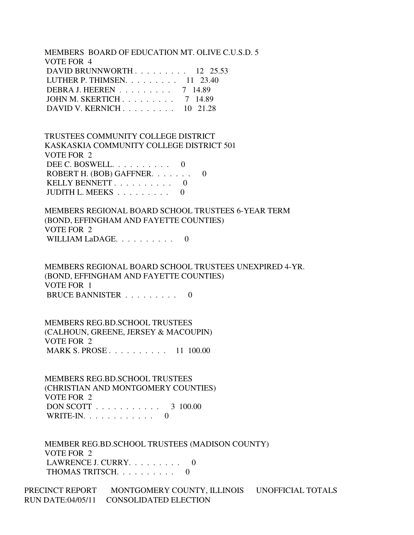MEMBERS BOARD OF EDUCATION MT. OLIVE C.U.S.D. 5 VOTE FOR 4 DAVID BRUNNWORTH . . . . . . . . . 12 25.53 LUTHER P. THIMSEN. . . . . . . . . 11 23.40 DEBRA J. HEEREN . . . . . . . . . 7 14.89 JOHN M. SKERTICH . . . . . . . . . 7 14.89 DAVID V. KERNICH . . . . . . . . . 10 21.28

 TRUSTEES COMMUNITY COLLEGE DISTRICT KASKASKIA COMMUNITY COLLEGE DISTRICT 501 VOTE FOR 2 DEE C. BOSWELL. . . . . . . . . . 0 ROBERT H. (BOB) GAFFNER. . . . . . . 0 KELLY BENNETT . . . . . . . . . . 0 JUDITH L. MEEKS . . . . . . . . . 0

 MEMBERS REGIONAL BOARD SCHOOL TRUSTEES 6-YEAR TERM (BOND, EFFINGHAM AND FAYETTE COUNTIES) VOTE FOR 2 WILLIAM LaDAGE. . . . . . . . . . 0

 MEMBERS REGIONAL BOARD SCHOOL TRUSTEES UNEXPIRED 4-YR. (BOND, EFFINGHAM AND FAYETTE COUNTIES) VOTE FOR 1 BRUCE BANNISTER . . . . . . . . . 0

 MEMBERS REG.BD.SCHOOL TRUSTEES (CALHOUN, GREENE, JERSEY & MACOUPIN) VOTE FOR 2 MARK S. PROSE . . . . . . . . . . 11 100.00

 MEMBERS REG.BD.SCHOOL TRUSTEES (CHRISTIAN AND MONTGOMERY COUNTIES) VOTE FOR 2 DON SCOTT . . . . . . . . . . . 3 100.00 WRITE-IN.  $\ldots$  . . . . . . . . 0

 MEMBER REG.BD.SCHOOL TRUSTEES (MADISON COUNTY) VOTE FOR 2 LAWRENCE J. CURRY.  $\ldots$  . . . . . . 0 THOMAS TRITSCH. . . . . . . . . . 0

PRECINCT REPORT MONTGOMERY COUNTY, ILLINOIS UNOFFICIAL TOTALS RUN DATE:04/05/11 CONSOLIDATED ELECTION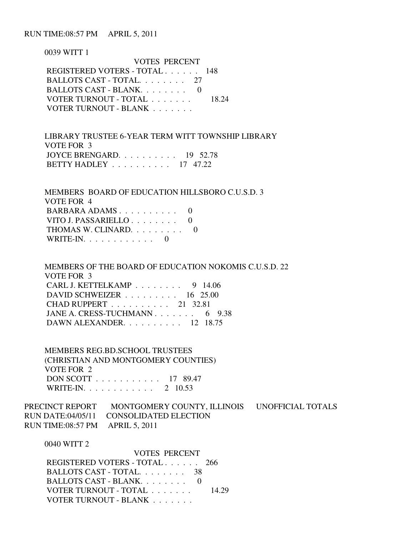RUN TIME:08:57 PM APRIL 5, 2011

 0039 WITT 1 VOTES PERCENT REGISTERED VOTERS - TOTAL . . . . . . 148 BALLOTS CAST - TOTAL. . . . . . . . 27 BALLOTS CAST - BLANK. . . . . . . . 0 VOTER TURNOUT - TOTAL . . . . . . . 18.24 VOTER TURNOUT - BLANK . . . . . . . .

 LIBRARY TRUSTEE 6-YEAR TERM WITT TOWNSHIP LIBRARY VOTE FOR 3 JOYCE BRENGARD. . . . . . . . . . 19 52.78 BETTY HADLEY . . . . . . . . . . 17 47.22

 MEMBERS BOARD OF EDUCATION HILLSBORO C.U.S.D. 3 VOTE FOR 4 BARBARA ADAMS . . . . . . . . . . 0 VITO J. PASSARIELLO . . . . . . . . 0 THOMAS W. CLINARD. . . . . . . . . 0 WRITE-IN.  $\ldots$  . . . . . . . . 0

 MEMBERS OF THE BOARD OF EDUCATION NOKOMIS C.U.S.D. 22 VOTE FOR 3 CARL J. KETTELKAMP . . . . . . . . 9 14.06 DAVID SCHWEIZER . . . . . . . . . 16 25.00 CHAD RUPPERT . . . . . . . . . . 21 32.81 JANE A. CRESS-TUCHMANN . . . . . . . 6 9.38 DAWN ALEXANDER. . . . . . . . . . 12 18.75

 MEMBERS REG.BD.SCHOOL TRUSTEES (CHRISTIAN AND MONTGOMERY COUNTIES) VOTE FOR 2 DON SCOTT . . . . . . . . . . . 17 89.47 WRITE-IN. . . . . . . . . . . . 2 10.53

PRECINCT REPORT MONTGOMERY COUNTY, ILLINOIS UNOFFICIAL TOTALS RUN DATE:04/05/11 CONSOLIDATED ELECTION RUN TIME:08:57 PM APRIL 5, 2011

0040 WITT 2

| <b>VOTES PERCENT</b>          |       |
|-------------------------------|-------|
| REGISTERED VOTERS - TOTAL 266 |       |
| BALLOTS CAST - TOTAL 38       |       |
| BALLOTS CAST - BLANK. 0       |       |
| VOTER TURNOUT - TOTAL         | 14.29 |
| VOTER TURNOUT - BLANK         |       |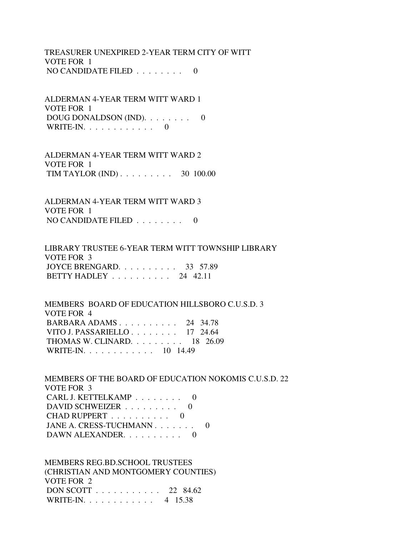TREASURER UNEXPIRED 2-YEAR TERM CITY OF WITT VOTE FOR 1 NO CANDIDATE FILED . . . . . . . . 0

 ALDERMAN 4-YEAR TERM WITT WARD 1 VOTE FOR 1 DOUG DONALDSON (IND). . . . . . . . 0 WRITE-IN.  $\ldots$  . . . . . . . . 0

 ALDERMAN 4-YEAR TERM WITT WARD 2 VOTE FOR 1 TIM TAYLOR (IND) . . . . . . . . . 30 100.00

 ALDERMAN 4-YEAR TERM WITT WARD 3 VOTE FOR 1 NO CANDIDATE FILED  $\ldots \ldots \ldots$ 

 LIBRARY TRUSTEE 6-YEAR TERM WITT TOWNSHIP LIBRARY VOTE FOR 3 JOYCE BRENGARD. . . . . . . . . . 33 57.89 BETTY HADLEY . . . . . . . . . . 24 42.11

 MEMBERS BOARD OF EDUCATION HILLSBORO C.U.S.D. 3 VOTE FOR 4 BARBARA ADAMS . . . . . . . . . . 24 34.78 VITO J. PASSARIELLO . . . . . . . . 17 24.64 THOMAS W. CLINARD. . . . . . . . . 18 26.09 WRITE-IN. . . . . . . . . . . . 10 14.49

 MEMBERS OF THE BOARD OF EDUCATION NOKOMIS C.U.S.D. 22 VOTE FOR 3 CARL J. KETTELKAMP . . . . . . . . 0 DAVID SCHWEIZER . . . . . . . . . 0 CHAD RUPPERT . . . . . . . . . . 0 JANE A. CRESS-TUCHMANN . . . . . . . 0 DAWN ALEXANDER. . . . . . . . . . 0

 MEMBERS REG.BD.SCHOOL TRUSTEES (CHRISTIAN AND MONTGOMERY COUNTIES) VOTE FOR 2 DON SCOTT . . . . . . . . . . . 22 84.62 WRITE-IN. . . . . . . . . . . . 4 15.38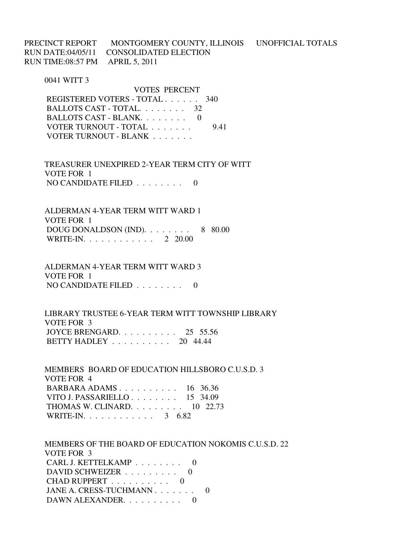PRECINCT REPORT MONTGOMERY COUNTY, ILLINOIS UNOFFICIAL TOTALS RUN DATE:04/05/11 CONSOLIDATED ELECTION RUN TIME:08:57 PM APRIL 5, 2011

#### 0041 WITT 3

 VOTES PERCENT REGISTERED VOTERS - TOTAL . . . . . . 340 BALLOTS CAST - TOTAL. . . . . . . . 32 BALLOTS CAST - BLANK. . . . . . . . . 0 VOTER TURNOUT - TOTAL . . . . . . . 9.41 VOTER TURNOUT - BLANK . . . . . . .

 TREASURER UNEXPIRED 2-YEAR TERM CITY OF WITT VOTE FOR 1 NO CANDIDATE FILED  $\ldots$ , . . . . . 0

 ALDERMAN 4-YEAR TERM WITT WARD 1 VOTE FOR 1 DOUG DONALDSON (IND).  $\ldots$  . . . . . 8 80.00 WRITE-IN. . . . . . . . . . . . 2 20.00

 ALDERMAN 4-YEAR TERM WITT WARD 3 VOTE FOR 1 NO CANDIDATE FILED . . . . . . . . 0

 LIBRARY TRUSTEE 6-YEAR TERM WITT TOWNSHIP LIBRARY VOTE FOR 3 JOYCE BRENGARD. . . . . . . . . . 25 55.56 BETTY HADLEY . . . . . . . . . . 20 44.44

 MEMBERS BOARD OF EDUCATION HILLSBORO C.U.S.D. 3 VOTE FOR 4 BARBARA ADAMS . . . . . . . . . . 16 36.36 VITO J. PASSARIELLO . . . . . . . . 15 34.09 THOMAS W. CLINARD. . . . . . . . . 10 22.73 WRITE-IN. . . . . . . . . . . . 3 6.82

 MEMBERS OF THE BOARD OF EDUCATION NOKOMIS C.U.S.D. 22 VOTE FOR 3 CARL J. KETTELKAMP . . . . . . . . 0 DAVID SCHWEIZER . . . . . . . . . 0 CHAD RUPPERT . . . . . . . . . . 0 JANE A. CRESS-TUCHMANN . . . . . . . 0 DAWN ALEXANDER. . . . . . . . . . 0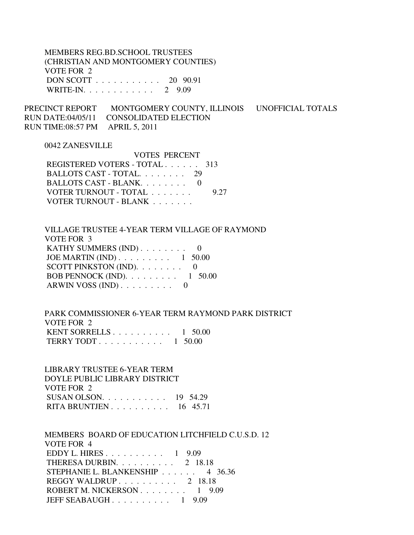MEMBERS REG.BD.SCHOOL TRUSTEES (CHRISTIAN AND MONTGOMERY COUNTIES) VOTE FOR 2 DON SCOTT . . . . . . . . . . . 20 90.91 WRITE-IN. . . . . . . . . . . . 2 9.09

PRECINCT REPORT MONTGOMERY COUNTY, ILLINOIS UNOFFICIAL TOTALS RUN DATE:04/05/11 CONSOLIDATED ELECTION RUN TIME:08:57 PM APRIL 5, 2011

## 0042 ZANESVILLE

 VOTES PERCENT REGISTERED VOTERS - TOTAL . . . . . . 313 BALLOTS CAST - TOTAL. . . . . . . . 29 BALLOTS CAST - BLANK. . . . . . . . 0 VOTER TURNOUT - TOTAL . . . . . . . 9.27 VOTER TURNOUT - BLANK . . . . . . .

 VILLAGE TRUSTEE 4-YEAR TERM VILLAGE OF RAYMOND VOTE FOR 3 KATHY SUMMERS (IND) . . . . . . . . 0 JOE MARTIN (IND) . . . . . . . . . 1 50.00 SCOTT PINKSTON (IND). . . . . . . . 0 BOB PENNOCK (IND). . . . . . . . . 1 50.00 ARWIN VOSS (IND) . . . . . . . . . 0

 PARK COMMISSIONER 6-YEAR TERM RAYMOND PARK DISTRICT VOTE FOR 2 KENT SORRELLS . . . . . . . . . . 1 50.00 TERRY TODT . . . . . . . . . . . 1 50.00

 LIBRARY TRUSTEE 6-YEAR TERM DOYLE PUBLIC LIBRARY DISTRICT VOTE FOR 2 SUSAN OLSON. . . . . . . . . . . 19 54.29 RITA BRUNTJEN . . . . . . . . . . 16 45.71

 MEMBERS BOARD OF EDUCATION LITCHFIELD C.U.S.D. 12 VOTE FOR 4 EDDY L. HIRES . . . . . . . . . . 1 9.09 THERESA DURBIN. . . . . . . . . . 2 18.18 STEPHANIE L. BLANKENSHIP . . . . . . 4 36.36 REGGY WALDRUP . . . . . . . . . . 2 18.18 ROBERT M. NICKERSON . . . . . . . . 1 9.09 JEFF SEABAUGH . . . . . . . . . . 1 9.09